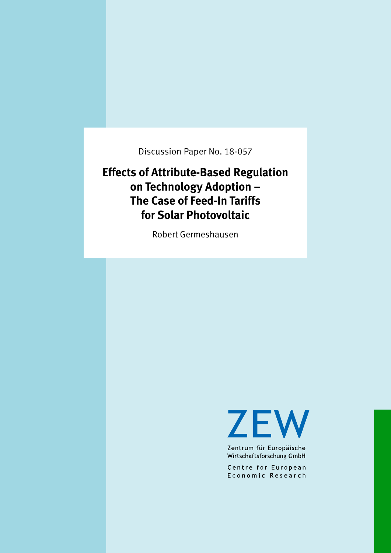Discussion Paper No. 18-057

# **Effects of Attribute-Based Regulation on Technology Adoption – The Case of Feed-In Tariffs for Solar Photovoltaic**

Robert Germeshausen

**ZEW** 

Zentrum für Europäische Wirtschaftsforschung GmbH

Centre for European Economic Research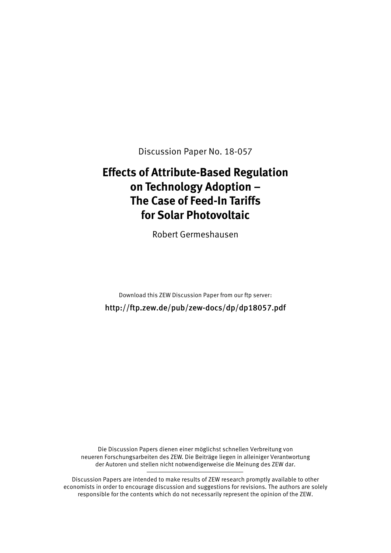Discussion Paper No. 18-057

# **Effects of Attribute-Based Regulation on Technology Adoption – The Case of Feed-In Tariffs for Solar Photovoltaic**

Robert Germeshausen

Download this ZEW Discussion Paper from our ftp server: http://ftp.zew.de/pub/zew-docs/dp/dp18057.pdf

Die Discussion Papers dienen einer möglichst schnellen Verbreitung von neueren Forschungsarbeiten des ZEW. Die Beiträge liegen in alleiniger Verantwortung der Autoren und stellen nicht notwendigerweise die Meinung des ZEW dar.

Discussion Papers are intended to make results of ZEW research promptly available to other economists in order to encourage discussion and suggestions for revisions. The authors are solely responsible for the contents which do not necessarily represent the opinion of the ZEW.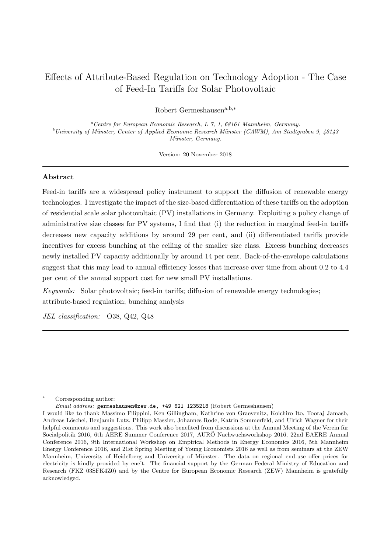# Effects of Attribute-Based Regulation on Technology Adoption - The Case of Feed-In Tariffs for Solar Photovoltaic

Robert Germeshausen $a,b,*$ 

<sup>a</sup>Centre for European Economic Research, L 7, 1, 68161 Mannheim, Germany.  $b$ University of Münster, Center of Applied Economic Research Münster (CAWM), Am Stadtgraben 9, 48143 Münster, Germany.

Version: 20 November 2018

# Abstract

Feed-in tariffs are a widespread policy instrument to support the diffusion of renewable energy technologies. I investigate the impact of the size-based differentiation of these tariffs on the adoption of residential scale solar photovoltaic (PV) installations in Germany. Exploiting a policy change of administrative size classes for PV systems, I find that (i) the reduction in marginal feed-in tariffs decreases new capacity additions by around 29 per cent, and (ii) differentiated tariffs provide incentives for excess bunching at the ceiling of the smaller size class. Excess bunching decreases newly installed PV capacity additionally by around 14 per cent. Back-of-the-envelope calculations suggest that this may lead to annual efficiency losses that increase over time from about 0.2 to 4.4 per cent of the annual support cost for new small PV installations.

Keywords: Solar photovoltaic; feed-in tariffs; diffusion of renewable energy technologies; attribute-based regulation; bunching analysis

JEL classification: O38, Q42, Q48

Corresponding author:

Email address: germeshausen@zew.de, +49 621 1235218 (Robert Germeshausen)

I would like to thank Massimo Filippini, Ken Gillingham, Kathrine von Graevenitz, Koichiro Ito, Tooraj Jamasb, Andreas Löschel, Benjamin Lutz, Philipp Massier, Johannes Rode, Katrin Sommerfeld, and Ulrich Wagner for their helpful comments and suggestions. This work also benefited from discussions at the Annual Meeting of the Verein für Socialpolitik 2016, 6th AERE Summer Conference 2017, AURÖ Nachwuchsworkshop 2016, 22nd EAERE Annual Conference 2016, 9th International Workshop on Empirical Methods in Energy Economics 2016, 5th Mannheim Energy Conference 2016, and 21st Spring Meeting of Young Economists 2016 as well as from seminars at the ZEW Mannheim, University of Heidelberg and University of Münster. The data on regional end-use offer prices for electricity is kindly provided by ene't. The financial support by the German Federal Ministry of Education and Research (FKZ 03SFK4Z0) and by the Centre for European Economic Research (ZEW) Mannheim is gratefully acknowledged.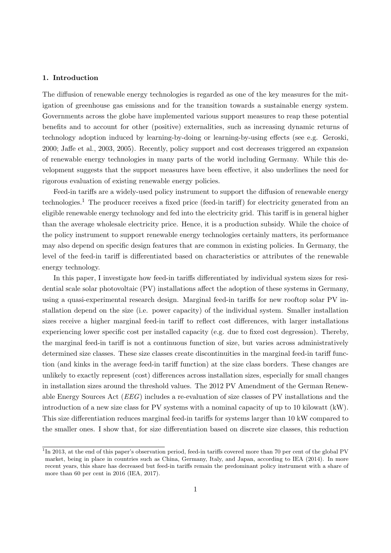# 1. Introduction

The diffusion of renewable energy technologies is regarded as one of the key measures for the mitigation of greenhouse gas emissions and for the transition towards a sustainable energy system. Governments across the globe have implemented various support measures to reap these potential benefits and to account for other (positive) externalities, such as increasing dynamic returns of technology adoption induced by learning-by-doing or learning-by-using effects (see e.g. Geroski, 2000; Jaffe et al., 2003, 2005). Recently, policy support and cost decreases triggered an expansion of renewable energy technologies in many parts of the world including Germany. While this development suggests that the support measures have been effective, it also underlines the need for rigorous evaluation of existing renewable energy policies.

Feed-in tariffs are a widely-used policy instrument to support the diffusion of renewable energy technologies.<sup>[1](#page-3-0)</sup> The producer receives a fixed price (feed-in tariff) for electricity generated from an eligible renewable energy technology and fed into the electricity grid. This tariff is in general higher than the average wholesale electricity price. Hence, it is a production subsidy. While the choice of the policy instrument to support renewable energy technologies certainly matters, its performance may also depend on specific design features that are common in existing policies. In Germany, the level of the feed-in tariff is differentiated based on characteristics or attributes of the renewable energy technology.

In this paper, I investigate how feed-in tariffs differentiated by individual system sizes for residential scale solar photovoltaic (PV) installations affect the adoption of these systems in Germany, using a quasi-experimental research design. Marginal feed-in tariffs for new rooftop solar PV installation depend on the size (i.e. power capacity) of the individual system. Smaller installation sizes receive a higher marginal feed-in tariff to reflect cost differences, with larger installations experiencing lower specific cost per installed capacity (e.g. due to fixed cost degression). Thereby, the marginal feed-in tariff is not a continuous function of size, but varies across administratively determined size classes. These size classes create discontinuities in the marginal feed-in tariff function (and kinks in the average feed-in tariff function) at the size class borders. These changes are unlikely to exactly represent (cost) differences across installation sizes, especially for small changes in installation sizes around the threshold values. The 2012 PV Amendment of the German Renewable Energy Sources Act (EEG) includes a re-evaluation of size classes of PV installations and the introduction of a new size class for PV systems with a nominal capacity of up to 10 kilowatt (kW). This size differentiation reduces marginal feed-in tariffs for systems larger than 10 kW compared to the smaller ones. I show that, for size differentiation based on discrete size classes, this reduction

<span id="page-3-0"></span><sup>&</sup>lt;sup>1</sup>In 2013, at the end of this paper's observation period, feed-in tariffs covered more than 70 per cent of the global PV market, being in place in countries such as China, Germany, Italy, and Japan, according to IEA (2014). In more recent years, this share has decreased but feed-in tariffs remain the predominant policy instrument with a share of more than 60 per cent in 2016 (IEA, 2017).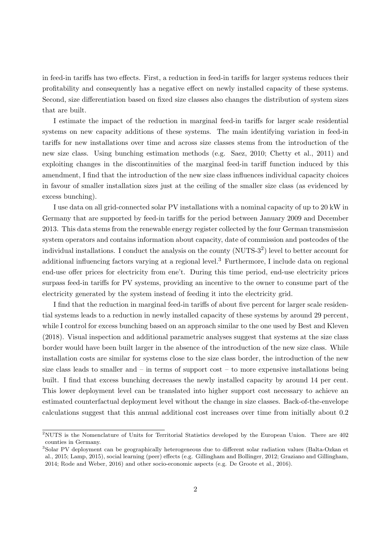in feed-in tariffs has two effects. First, a reduction in feed-in tariffs for larger systems reduces their profitability and consequently has a negative effect on newly installed capacity of these systems. Second, size differentiation based on fixed size classes also changes the distribution of system sizes that are built.

I estimate the impact of the reduction in marginal feed-in tariffs for larger scale residential systems on new capacity additions of these systems. The main identifying variation in feed-in tariffs for new installations over time and across size classes stems from the introduction of the new size class. Using bunching estimation methods (e.g. Saez, 2010; Chetty et al., 2011) and exploiting changes in the discontinuities of the marginal feed-in tariff function induced by this amendment, I find that the introduction of the new size class influences individual capacity choices in favour of smaller installation sizes just at the ceiling of the smaller size class (as evidenced by excess bunching).

I use data on all grid-connected solar PV installations with a nominal capacity of up to 20 kW in Germany that are supported by feed-in tariffs for the period between January 2009 and December 2013. This data stems from the renewable energy register collected by the four German transmission system operators and contains information about capacity, date of commission and postcodes of the individual installations. I conduct the analysis on the county (NUTS-3<sup>[2](#page-4-0)</sup>) level to better account for additional influencing factors varying at a regional level.<sup>[3](#page-4-1)</sup> Furthermore, I include data on regional end-use offer prices for electricity from ene't. During this time period, end-use electricity prices surpass feed-in tariffs for PV systems, providing an incentive to the owner to consume part of the electricity generated by the system instead of feeding it into the electricity grid.

I find that the reduction in marginal feed-in tariffs of about five percent for larger scale residential systems leads to a reduction in newly installed capacity of these systems by around 29 percent, while I control for excess bunching based on an approach similar to the one used by Best and Kleven (2018). Visual inspection and additional parametric analyses suggest that systems at the size class border would have been built larger in the absence of the introduction of the new size class. While installation costs are similar for systems close to the size class border, the introduction of the new size class leads to smaller and  $-$  in terms of support cost  $-$  to more expensive installations being built. I find that excess bunching decreases the newly installed capacity by around 14 per cent. This lower deployment level can be translated into higher support cost necessary to achieve an estimated counterfactual deployment level without the change in size classes. Back-of-the-envelope calculations suggest that this annual additional cost increases over time from initially about 0.2

<span id="page-4-0"></span><sup>&</sup>lt;sup>2</sup>NUTS is the Nomenclature of Units for Territorial Statistics developed by the European Union. There are 402 counties in Germany.

<span id="page-4-1"></span><sup>3</sup>Solar PV deployment can be geographically heterogeneous due to different solar radiation values (Balta-Ozkan et al., 2015; Lamp, 2015), social learning (peer) effects (e.g. Gillingham and Bollinger, 2012; Graziano and Gillingham, 2014; Rode and Weber, 2016) and other socio-economic aspects (e.g. De Groote et al., 2016).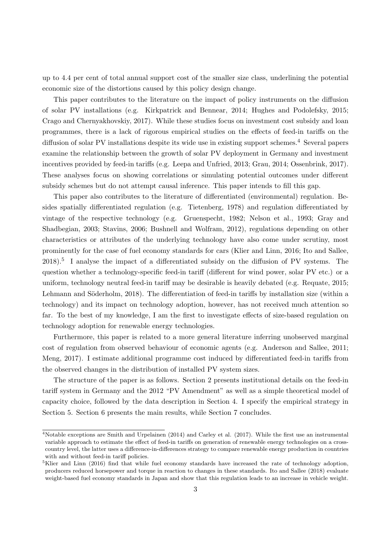up to 4.4 per cent of total annual support cost of the smaller size class, underlining the potential economic size of the distortions caused by this policy design change.

This paper contributes to the literature on the impact of policy instruments on the diffusion of solar PV installations (e.g. Kirkpatrick and Bennear, 2014; Hughes and Podolefsky, 2015; Crago and Chernyakhovskiy, 2017). While these studies focus on investment cost subsidy and loan programmes, there is a lack of rigorous empirical studies on the effects of feed-in tariffs on the diffusion of solar PV installations despite its wide use in existing support schemes.<sup>[4](#page-5-0)</sup> Several papers examine the relationship between the growth of solar PV deployment in Germany and investment incentives provided by feed-in tariffs (e.g. Leepa and Unfried, 2013; Grau, 2014; Ossenbrink, 2017). These analyses focus on showing correlations or simulating potential outcomes under different subsidy schemes but do not attempt causal inference. This paper intends to fill this gap.

This paper also contributes to the literature of differentiated (environmental) regulation. Besides spatially differentiated regulation (e.g. Tietenberg, 1978) and regulation differentiated by vintage of the respective technology (e.g. Gruenspecht, 1982; Nelson et al., 1993; Gray and Shadbegian, 2003; Stavins, 2006; Bushnell and Wolfram, 2012), regulations depending on other characteristics or attributes of the underlying technology have also come under scrutiny, most prominently for the case of fuel economy standards for cars (Klier and Linn, 2016; Ito and Sallee, 2018).<sup>[5](#page-5-1)</sup> I analyse the impact of a differentiated subsidy on the diffusion of PV systems. The question whether a technology-specific feed-in tariff (different for wind power, solar PV etc.) or a uniform, technology neutral feed-in tariff may be desirable is heavily debated (e.g. Requate, 2015; Lehmann and Söderholm, 2018). The differentiation of feed-in tariffs by installation size (within a technology) and its impact on technology adoption, however, has not received much attention so far. To the best of my knowledge, I am the first to investigate effects of size-based regulation on technology adoption for renewable energy technologies.

Furthermore, this paper is related to a more general literature inferring unobserved marginal cost of regulation from observed behaviour of economic agents (e.g. Anderson and Sallee, 2011; Meng, 2017). I estimate additional programme cost induced by differentiated feed-in tariffs from the observed changes in the distribution of installed PV system sizes.

The structure of the paper is as follows. Section [2](#page-6-0) presents institutional details on the feed-in tariff system in Germany and the 2012 "PV Amendment" as well as a simple theoretical model of capacity choice, followed by the data description in Section [4.](#page-14-0) I specify the empirical strategy in Section [5.](#page-16-0) Section [6](#page-21-0) presents the main results, while Section [7](#page-30-0) concludes.

<span id="page-5-0"></span><sup>4</sup>Notable exceptions are Smith and Urpelainen (2014) and Carley et al. (2017). While the first use an instrumental variable approach to estimate the effect of feed-in tariffs on generation of renewable energy technologies on a crosscountry level, the latter uses a difference-in-differences strategy to compare renewable energy production in countries with and without feed-in tariff policies.

<span id="page-5-1"></span><sup>5</sup>Klier and Linn (2016) find that while fuel economy standards have increased the rate of technology adoption, producers reduced horsepower and torque in reaction to changes in these standards. Ito and Sallee (2018) evaluate weight-based fuel economy standards in Japan and show that this regulation leads to an increase in vehicle weight.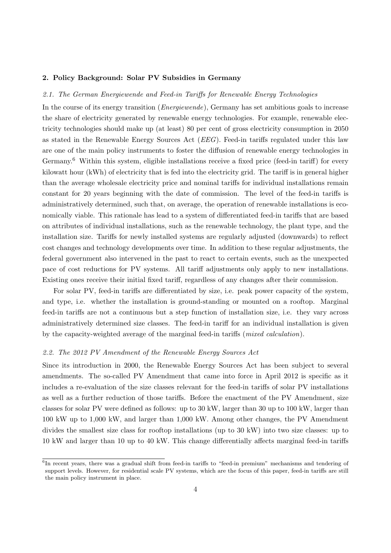#### <span id="page-6-0"></span>2. Policy Background: Solar PV Subsidies in Germany

# <span id="page-6-2"></span>2.1. The German Energiewende and Feed-in Tariffs for Renewable Energy Technologies

In the course of its energy transition (Energiewende), Germany has set ambitious goals to increase the share of electricity generated by renewable energy technologies. For example, renewable electricity technologies should make up (at least) 80 per cent of gross electricity consumption in 2050 as stated in the Renewable Energy Sources Act (EEG). Feed-in tariffs regulated under this law are one of the main policy instruments to foster the diffusion of renewable energy technologies in Germany.<sup>[6](#page-6-1)</sup> Within this system, eligible installations receive a fixed price (feed-in tariff) for every kilowatt hour (kWh) of electricity that is fed into the electricity grid. The tariff is in general higher than the average wholesale electricity price and nominal tariffs for individual installations remain constant for 20 years beginning with the date of commission. The level of the feed-in tariffs is administratively determined, such that, on average, the operation of renewable installations is economically viable. This rationale has lead to a system of differentiated feed-in tariffs that are based on attributes of individual installations, such as the renewable technology, the plant type, and the installation size. Tariffs for newly installed systems are regularly adjusted (downwards) to reflect cost changes and technology developments over time. In addition to these regular adjustments, the federal government also intervened in the past to react to certain events, such as the unexpected pace of cost reductions for PV systems. All tariff adjustments only apply to new installations. Existing ones receive their initial fixed tariff, regardless of any changes after their commission.

For solar PV, feed-in tariffs are differentiated by size, i.e. peak power capacity of the system, and type, i.e. whether the installation is ground-standing or mounted on a rooftop. Marginal feed-in tariffs are not a continuous but a step function of installation size, i.e. they vary across administratively determined size classes. The feed-in tariff for an individual installation is given by the capacity-weighted average of the marginal feed-in tariffs (mixed calculation).

#### 2.2. The 2012 PV Amendment of the Renewable Energy Sources Act

Since its introduction in 2000, the Renewable Energy Sources Act has been subject to several amendments. The so-called PV Amendment that came into force in April 2012 is specific as it includes a re-evaluation of the size classes relevant for the feed-in tariffs of solar PV installations as well as a further reduction of those tariffs. Before the enactment of the PV Amendment, size classes for solar PV were defined as follows: up to 30 kW, larger than 30 up to 100 kW, larger than 100 kW up to 1,000 kW, and larger than 1,000 kW. Among other changes, the PV Amendment divides the smallest size class for rooftop installations (up to 30 kW) into two size classes: up to 10 kW and larger than 10 up to 40 kW. This change differentially affects marginal feed-in tariffs

<span id="page-6-1"></span><sup>&</sup>lt;sup>6</sup>In recent years, there was a gradual shift from feed-in tariffs to "feed-in premium" mechanisms and tendering of support levels. However, for residential scale PV systems, which are the focus of this paper, feed-in tariffs are still the main policy instrument in place.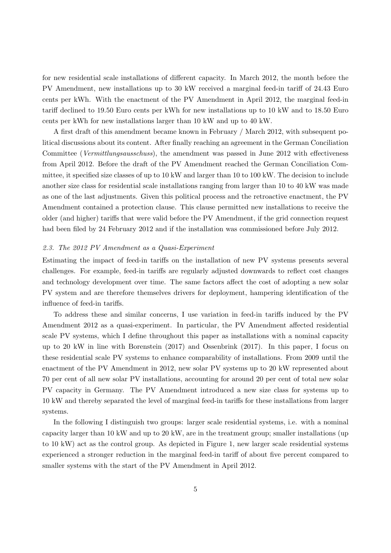for new residential scale installations of different capacity. In March 2012, the month before the PV Amendment, new installations up to 30 kW received a marginal feed-in tariff of 24.43 Euro cents per kWh. With the enactment of the PV Amendment in April 2012, the marginal feed-in tariff declined to 19.50 Euro cents per kWh for new installations up to 10 kW and to 18.50 Euro cents per kWh for new installations larger than 10 kW and up to 40 kW.

A first draft of this amendment became known in February / March 2012, with subsequent political discussions about its content. After finally reaching an agreement in the German Conciliation Committee (Vermittlungsausschuss), the amendment was passed in June 2012 with effectiveness from April 2012. Before the draft of the PV Amendment reached the German Conciliation Committee, it specified size classes of up to 10 kW and larger than 10 to 100 kW. The decision to include another size class for residential scale installations ranging from larger than 10 to 40 kW was made as one of the last adjustments. Given this political process and the retroactive enactment, the PV Amendment contained a protection clause. This clause permitted new installations to receive the older (and higher) tariffs that were valid before the PV Amendment, if the grid connection request had been filed by 24 February 2012 and if the installation was commissioned before July 2012.

#### 2.3. The 2012 PV Amendment as a Quasi-Experiment

Estimating the impact of feed-in tariffs on the installation of new PV systems presents several challenges. For example, feed-in tariffs are regularly adjusted downwards to reflect cost changes and technology development over time. The same factors affect the cost of adopting a new solar PV system and are therefore themselves drivers for deployment, hampering identification of the influence of feed-in tariffs.

To address these and similar concerns, I use variation in feed-in tariffs induced by the PV Amendment 2012 as a quasi-experiment. In particular, the PV Amendment affected residential scale PV systems, which I define throughout this paper as installations with a nominal capacity up to 20 kW in line with Borenstein (2017) and Ossenbrink (2017). In this paper, I focus on these residential scale PV systems to enhance comparability of installations. From 2009 until the enactment of the PV Amendment in 2012, new solar PV systems up to 20 kW represented about 70 per cent of all new solar PV installations, accounting for around 20 per cent of total new solar PV capacity in Germany. The PV Amendment introduced a new size class for systems up to 10 kW and thereby separated the level of marginal feed-in tariffs for these installations from larger systems.

In the following I distinguish two groups: larger scale residential systems, i.e. with a nominal capacity larger than 10 kW and up to 20 kW, are in the treatment group; smaller installations (up to 10 kW) act as the control group. As depicted in Figure [1,](#page-8-0) new larger scale residential systems experienced a stronger reduction in the marginal feed-in tariff of about five percent compared to smaller systems with the start of the PV Amendment in April 2012.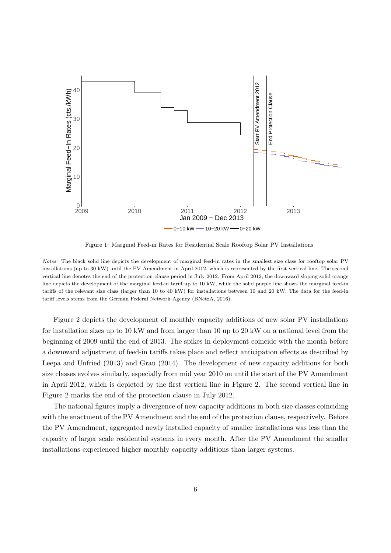<span id="page-8-0"></span>

Figure 1: Marginal Feed-in Rates for Residential Scale Rooftop Solar PV Installations

Notes: The black solid line depicts the development of marginal feed-in rates in the smallest size class for rooftop solar PV installations (up to 30 kW) until the PV Amendment in April 2012, which is represented by the first vertical line. The second vertical line denotes the end of the protection clause period in July 2012. From April 2012, the downward sloping solid orange line depicts the development of the marginal feed-in tariff up to 10 kW, while the solid purple line shows the marginal feed-in tariffs of the relevant size class (larger than 10 to 40 kW) for installations between 10 and 20 kW. The data for the feed-in tariff levels stems from the German Federal Network Agency (BNetzA, 2016).

Figure [2](#page-9-0) depicts the development of monthly capacity additions of new solar PV installations for installation sizes up to 10 kW and from larger than 10 up to 20 kW on a national level from the beginning of 2009 until the end of 2013. The spikes in deployment coincide with the month before a downward adjustment of feed-in tariffs takes place and reflect anticipation effects as described by Leepa and Unfried (2013) and Grau (2014). The development of new capacity additions for both size classes evolves similarly, especially from mid year 2010 on until the start of the PV Amendment in April 2012, which is depicted by the first vertical line in Figure [2.](#page-9-0) The second vertical line in Figure [2](#page-9-0) marks the end of the protection clause in July 2012.

The national figures imply a divergence of new capacity additions in both size classes coinciding with the enactment of the PV Amendment and the end of the protection clause, respectively. Before the PV Amendment, aggregated newly installed capacity of smaller installations was less than the capacity of larger scale residential systems in every month. After the PV Amendment the smaller installations experienced higher monthly capacity additions than larger systems.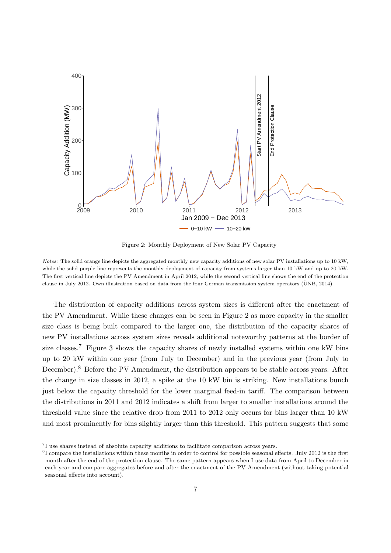<span id="page-9-0"></span>

Figure 2: Monthly Deployment of New Solar PV Capacity

Notes: The solid orange line depicts the aggregated monthly new capacity additions of new solar PV installations up to 10 kW, while the solid purple line represents the monthly deployment of capacity from systems larger than 10 kW and up to 20 kW. The first vertical line depicts the PV Amendment in April 2012, while the second vertical line shows the end of the protection clause in July 2012. Own illustration based on data from the four German transmission system operators (UNB, 2014).

The distribution of capacity additions across system sizes is different after the enactment of the PV Amendment. While these changes can be seen in Figure [2](#page-9-0) as more capacity in the smaller size class is being built compared to the larger one, the distribution of the capacity shares of new PV installations across system sizes reveals additional noteworthy patterns at the border of size classes.<sup>[7](#page-9-1)</sup> Figure [3](#page-10-0) shows the capacity shares of newly installed systems within one kW bins up to 20 kW within one year (from July to December) and in the previous year (from July to December).<sup>[8](#page-9-2)</sup> Before the PV Amendment, the distribution appears to be stable across years. After the change in size classes in 2012, a spike at the 10 kW bin is striking. New installations bunch just below the capacity threshold for the lower marginal feed-in tariff. The comparison between the distributions in 2011 and 2012 indicates a shift from larger to smaller installations around the threshold value since the relative drop from 2011 to 2012 only occurs for bins larger than 10 kW and most prominently for bins slightly larger than this threshold. This pattern suggests that some

<span id="page-9-1"></span><sup>&</sup>lt;sup>7</sup>I use shares instead of absolute capacity additions to facilitate comparison across years.

<span id="page-9-2"></span><sup>&</sup>lt;sup>8</sup>I compare the installations within these months in order to control for possible seasonal effects. July 2012 is the first month after the end of the protection clause. The same pattern appears when I use data from April to December in each year and compare aggregates before and after the enactment of the PV Amendment (without taking potential seasonal effects into account).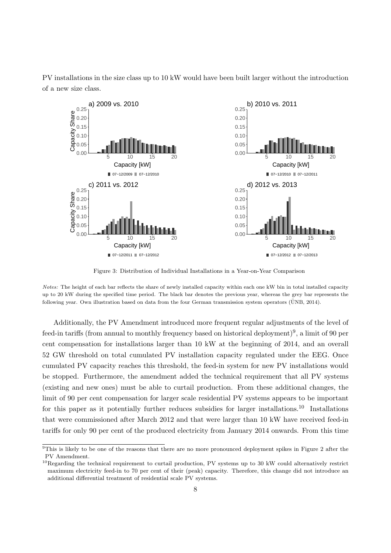<span id="page-10-0"></span>PV installations in the size class up to 10 kW would have been built larger without the introduction of a new size class.



Figure 3: Distribution of Individual Installations in a Year-on-Year Comparison

Notes: The height of each bar reflects the share of newly installed capacity within each one kW bin in total installed capacity up to 20 kW during the specified time period. The black bar denotes the previous year, whereas the grey bar represents the following year. Own illustration based on data from the four German transmission system operators (ÜNB, 2014).

Additionally, the PV Amendment introduced more frequent regular adjustments of the level of feed-in tariffs (from annual to monthly frequency based on historical deployment)<sup>[9](#page-10-1)</sup>, a limit of 90 per cent compensation for installations larger than 10 kW at the beginning of 2014, and an overall 52 GW threshold on total cumulated PV installation capacity regulated under the EEG. Once cumulated PV capacity reaches this threshold, the feed-in system for new PV installations would be stopped. Furthermore, the amendment added the technical requirement that all PV systems (existing and new ones) must be able to curtail production. From these additional changes, the limit of 90 per cent compensation for larger scale residential PV systems appears to be important for this paper as it potentially further reduces subsidies for larger installations.<sup>[10](#page-10-2)</sup> Installations that were commissioned after March 2012 and that were larger than 10 kW have received feed-in tariffs for only 90 per cent of the produced electricity from January 2014 onwards. From this time

<span id="page-10-1"></span> $9$ This is likely to be one of the reasons that there are no more pronounced deployment spikes in Figure [2](#page-9-0) after the PV Amendment.

<span id="page-10-2"></span> $10$ Regarding the technical requirement to curtail production, PV systems up to 30 kW could alternatively restrict maximum electricity feed-in to 70 per cent of their (peak) capacity. Therefore, this change did not introduce an additional differential treatment of residential scale PV systems.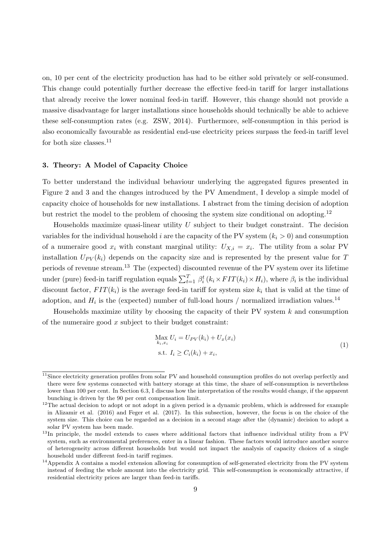on, 10 per cent of the electricity production has had to be either sold privately or self-consumed. This change could potentially further decrease the effective feed-in tariff for larger installations that already receive the lower nominal feed-in tariff. However, this change should not provide a massive disadvantage for larger installations since households should technically be able to achieve these self-consumption rates (e.g. ZSW, 2014). Furthermore, self-consumption in this period is also economically favourable as residential end-use electricity prices surpass the feed-in tariff level for both size classes. $11$ 

#### <span id="page-11-4"></span>3. Theory: A Model of Capacity Choice

To better understand the individual behaviour underlying the aggregated figures presented in Figure [2](#page-9-0) and [3](#page-10-0) and the changes introduced by the PV Amendment, I develop a simple model of capacity choice of households for new installations. I abstract from the timing decision of adoption but restrict the model to the problem of choosing the system size conditional on adopting.<sup>[12](#page-11-1)</sup>

Households maximize quasi-linear utility  $U$  subject to their budget constraint. The decision variables for the individual household i are the capacity of the PV system  $(k<sub>i</sub> > 0)$  and consumption of a numeraire good  $x_i$  with constant marginal utility:  $U_{X,i} = x_i$ . The utility from a solar PV installation  $U_{PV}(k_i)$  depends on the capacity size and is represented by the present value for T periods of revenue stream.[13](#page-11-2) The (expected) discounted revenue of the PV system over its lifetime under (pure) feed-in tariff regulation equals  $\sum_{t=1}^{T} \beta_i^t (k_i \times FIT(k_i) \times H_i)$ , where  $\beta_i$  is the individual discount factor,  $FIT(k_i)$  is the average feed-in tariff for system size  $k_i$  that is valid at the time of adoption, and  $H_i$  is the (expected) number of full-load hours / normalized irradiation values.<sup>[14](#page-11-3)</sup>

Households maximize utility by choosing the capacity of their PV system  $k$  and consumption of the numeraire good  $x$  subject to their budget constraint:

$$
\max_{k_i, x_i} U_i = U_{PV}(k_i) + U_x(x_i)
$$
  
s.t.  $I_i \ge C_i(k_i) + x_i$ , (1)

<span id="page-11-0"></span><sup>&</sup>lt;sup>11</sup>Since electricity generation profiles from solar PV and household consumption profiles do not overlap perfectly and there were few systems connected with battery storage at this time, the share of self-consumption is nevertheless lower than 100 per cent. In Section [6.3,](#page-26-0) I discuss how the interpretation of the results would change, if the apparent bunching is driven by the 90 per cent compensation limit.

<span id="page-11-1"></span><sup>&</sup>lt;sup>12</sup>The actual decision to adopt or not adopt in a given period is a dynamic problem, which is addressed for example in Alizamir et al. (2016) and Feger et al. (2017). In this subsection, however, the focus is on the choice of the system size. This choice can be regarded as a decision in a second stage after the (dynamic) decision to adopt a solar PV system has been made.

<span id="page-11-2"></span><sup>&</sup>lt;sup>13</sup>In principle, the model extends to cases where additional factors that influence individual utility from a PV system, such as environmental preferences, enter in a linear fashion. These factors would introduce another source of heterogeneity across different households but would not impact the analysis of capacity choices of a single household under different feed-in tariff regimes.

<span id="page-11-3"></span> $14$ Appendix [A](#page-35-0) contains a model extension allowing for consumption of self-generated electricity from the PV system instead of feeding the whole amount into the electricity grid. This self-consumption is economically attractive, if residential electricity prices are larger than feed-in tariffs.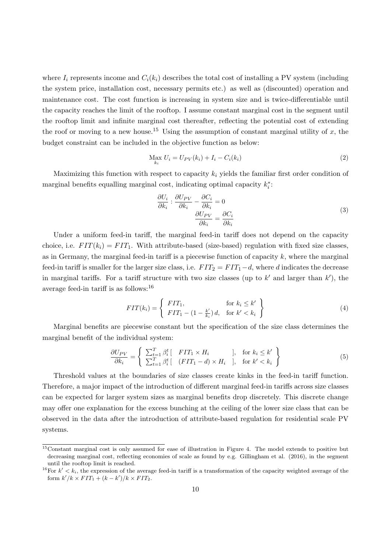where  $I_i$  represents income and  $C_i(k_i)$  describes the total cost of installing a PV system (including the system price, installation cost, necessary permits etc.) as well as (discounted) operation and maintenance cost. The cost function is increasing in system size and is twice-differentiable until the capacity reaches the limit of the rooftop. I assume constant marginal cost in the segment until the rooftop limit and infinite marginal cost thereafter, reflecting the potential cost of extending the roof or moving to a new house.<sup>[15](#page-12-0)</sup> Using the assumption of constant marginal utility of x, the budget constraint can be included in the objective function as below:

$$
\max_{k_i} U_i = U_{PV}(k_i) + I_i - C_i(k_i)
$$
\n(2)

Maximizing this function with respect to capacity  $k_i$  yields the familiar first order condition of marginal benefits equalling marginal cost, indicating optimal capacity  $k_i^*$ :

$$
\frac{\partial U_i}{\partial k_i} : \frac{\partial U_{PV}}{\partial k_i} - \frac{\partial C_i}{\partial k_i} = 0
$$
\n
$$
\frac{\partial U_{PV}}{\partial k_i} = \frac{\partial C_i}{\partial k_i}
$$
\n(3)

Under a uniform feed-in tariff, the marginal feed-in tariff does not depend on the capacity choice, i.e.  $FIT(k_i) = FIT_1$ . With attribute-based (size-based) regulation with fixed size classes, as in Germany, the marginal feed-in tariff is a piecewise function of capacity  $k$ , where the marginal feed-in tariff is smaller for the larger size class, i.e.  $FIT_2 = FIT_1-d$ , where d indicates the decrease in marginal tariffs. For a tariff structure with two size classes (up to  $k'$  and larger than  $k'$ ), the average feed-in tariff is as follows:[16](#page-12-1)

$$
FIT(k_i) = \left\{ \begin{array}{ll} FIT_1, & \text{for } k_i \le k' \\ FIT_1 - (1 - \frac{k'}{k_i}) d, & \text{for } k' < k_i \end{array} \right\} \tag{4}
$$

Marginal benefits are piecewise constant but the specification of the size class determines the marginal benefit of the individual system:

$$
\frac{\partial U_{PV}}{\partial k_i} = \left\{ \begin{array}{ll} \sum_{t=1}^T \beta_i^t \left[ & FTT_1 \times H_i \right] & \text{, for } k_i \le k' \\ \sum_{t=1}^T \beta_i^t \left[ & (FIT_1 - d) \times H_i \right] & \text{, for } k' < k_i \end{array} \right\} \tag{5}
$$

Threshold values at the boundaries of size classes create kinks in the feed-in tariff function. Therefore, a major impact of the introduction of different marginal feed-in tariffs across size classes can be expected for larger system sizes as marginal benefits drop discretely. This discrete change may offer one explanation for the excess bunching at the ceiling of the lower size class that can be observed in the data after the introduction of attribute-based regulation for residential scale PV systems.

<span id="page-12-0"></span> $15$ Constant marginal cost is only assumed for ease of illustration in Figure [4.](#page-13-0) The model extends to positive but decreasing marginal cost, reflecting economies of scale as found by e.g. Gillingham et al. (2016), in the segment until the rooftop limit is reached.

<span id="page-12-1"></span><sup>&</sup>lt;sup>16</sup>For  $k' < k_i$ , the expression of the average feed-in tariff is a transformation of the capacity weighted average of the form  $k'/k \times FIT_1 + (k - k')/k \times FIT_2$ .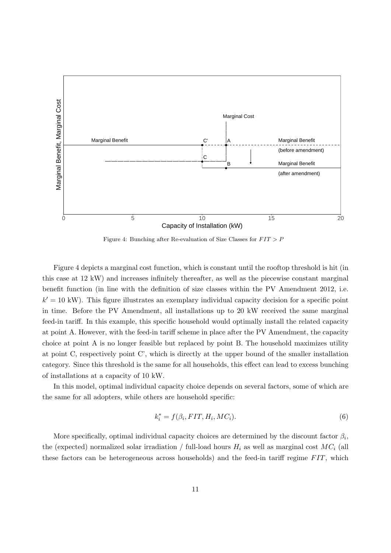<span id="page-13-0"></span>

Figure 4: Bunching after Re-evaluation of Size Classes for  $FIT > P$ 

Figure [4](#page-13-0) depicts a marginal cost function, which is constant until the rooftop threshold is hit (in this case at 12 kW) and increases infinitely thereafter, as well as the piecewise constant marginal benefit function (in line with the definition of size classes within the PV Amendment 2012, i.e.  $k' = 10$  kW). This figure illustrates an exemplary individual capacity decision for a specific point in time. Before the PV Amendment, all installations up to 20 kW received the same marginal feed-in tariff. In this example, this specific household would optimally install the related capacity at point A. However, with the feed-in tariff scheme in place after the PV Amendment, the capacity choice at point A is no longer feasible but replaced by point B. The household maximizes utility at point C, respectively point C', which is directly at the upper bound of the smaller installation category. Since this threshold is the same for all households, this effect can lead to excess bunching of installations at a capacity of 10 kW.

In this model, optimal individual capacity choice depends on several factors, some of which are the same for all adopters, while others are household specific:

$$
k_i^* = f(\beta_i, FIT, H_i, MC_i). \tag{6}
$$

More specifically, optimal individual capacity choices are determined by the discount factor  $\beta_i$ , the (expected) normalized solar irradiation / full-load hours  $H_i$  as well as marginal cost  $MC_i$  (all these factors can be heterogeneous across households) and the feed-in tariff regime  $FIT$ , which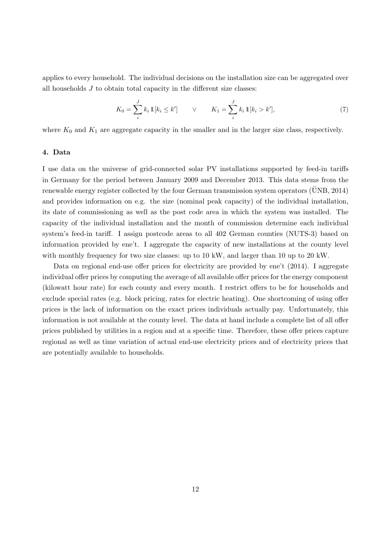applies to every household. The individual decisions on the installation size can be aggregated over all households  $J$  to obtain total capacity in the different size classes:

$$
K_0 = \sum_{i}^{J} k_i \, \mathbb{1}[k_i \le k'] \qquad \lor \qquad K_1 = \sum_{i}^{J} k_i \, \mathbb{1}[k_i > k'], \tag{7}
$$

where  $K_0$  and  $K_1$  are aggregate capacity in the smaller and in the larger size class, respectively.

#### <span id="page-14-0"></span>4. Data

I use data on the universe of grid-connected solar PV installations supported by feed-in tariffs in Germany for the period between January 2009 and December 2013. This data stems from the renewable energy register collected by the four German transmission system operators (UNB, 2014) and provides information on e.g. the size (nominal peak capacity) of the individual installation, its date of commissioning as well as the post code area in which the system was installed. The capacity of the individual installation and the month of commission determine each individual system's feed-in tariff. I assign postcode areas to all 402 German counties (NUTS-3) based on information provided by ene't. I aggregate the capacity of new installations at the county level with monthly frequency for two size classes: up to  $10 \text{ kW}$ , and larger than 10 up to  $20 \text{ kW}$ .

Data on regional end-use offer prices for electricity are provided by ene't (2014). I aggregate individual offer prices by computing the average of all available offer prices for the energy component (kilowatt hour rate) for each county and every month. I restrict offers to be for households and exclude special rates (e.g. block pricing, rates for electric heating). One shortcoming of using offer prices is the lack of information on the exact prices individuals actually pay. Unfortunately, this information is not available at the county level. The data at hand include a complete list of all offer prices published by utilities in a region and at a specific time. Therefore, these offer prices capture regional as well as time variation of actual end-use electricity prices and of electricity prices that are potentially available to households.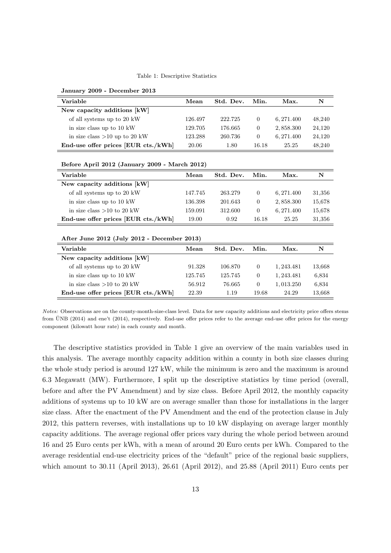#### Table 1: Descriptive Statistics

| Variable                                      | Mean    | Std. Dev. | Min.             | Max.       | $\mathbf N$ |  |  |
|-----------------------------------------------|---------|-----------|------------------|------------|-------------|--|--|
| New capacity additions [kW]                   |         |           |                  |            |             |  |  |
| of all systems up to 20 kW                    | 126.497 | 222.725   | $\overline{0}$   | 6,271.400  | 48,240      |  |  |
| in size class up to 10 kW                     | 129.705 | 176.665   | $\theta$         | 2,858.300  | 24,120      |  |  |
| in size class $>10$ up to 20 kW               | 123.288 | 260.736   | $\overline{0}$   | 6, 271.400 | 24,120      |  |  |
| End-use offer prices [EUR cts./kWh]           | 20.06   | 1.80      | 16.18            | 25.25      | 48,240      |  |  |
| Before April 2012 (January 2009 - March 2012) |         |           |                  |            |             |  |  |
| Variable                                      | Mean    | Std. Dev. | Min.             | Max.       | N           |  |  |
| New capacity additions [kW]                   |         |           |                  |            |             |  |  |
| of all systems up to 20 kW                    | 147.745 | 263.279   | $\overline{0}$   | 6, 271.400 | 31,356      |  |  |
| in size class up to 10 kW                     | 136.398 | 201.643   | $\theta$         | 2,858.300  | 15,678      |  |  |
| in size class $>10$ to 20 kW                  | 159.091 | 312.600   | $\overline{0}$   | 6, 271.400 | 15,678      |  |  |
| End-use offer prices [EUR cts./kWh]           | 19.00   | 0.92      | 16.18            | 25.25      | 31,356      |  |  |
| After June 2012 (July 2012 - December 2013)   |         |           |                  |            |             |  |  |
| Variable                                      | Mean    | Std. Dev. | Min.             | Max.       | $\mathbf N$ |  |  |
| New capacity additions [kW]                   |         |           |                  |            |             |  |  |
| of all systems up to 20 kW                    | 91.328  | 106.870   | $\overline{0}$   | 1,243.481  | 13,668      |  |  |
| in size class up to 10 kW                     | 125.745 | 125.745   | $\theta$         | 1, 243.481 | 6,834       |  |  |
| in size class $>10$ to 20 kW                  | 56.912  | 76.665    | $\boldsymbol{0}$ | 1,013.250  | 6,834       |  |  |
| End-use offer prices [EUR cts./kWh]           | 22.39   | 1.19      | 19.68            | 24.29      | 13,668      |  |  |

<span id="page-15-0"></span>January 2009 - December 2013

The descriptive statistics provided in Table [1](#page-15-0) give an overview of the main variables used in this analysis. The average monthly capacity addition within a county in both size classes during the whole study period is around 127 kW, while the minimum is zero and the maximum is around 6.3 Megawatt (MW). Furthermore, I split up the descriptive statistics by time period (overall, before and after the PV Amendment) and by size class. Before April 2012, the monthly capacity additions of systems up to 10 kW are on average smaller than those for installations in the larger size class. After the enactment of the PV Amendment and the end of the protection clause in July 2012, this pattern reverses, with installations up to 10 kW displaying on average larger monthly capacity additions. The average regional offer prices vary during the whole period between around 16 and 25 Euro cents per kWh, with a mean of around 20 Euro cents per kWh. Compared to the average residential end-use electricity prices of the "default" price of the regional basic suppliers, which amount to 30.11 (April 2013), 26.61 (April 2012), and 25.88 (April 2011) Euro cents per

Notes: Observations are on the county-month-size-class level. Data for new capacity additions and electricity price offers stems from UNB (2014) and ene't (2014), respectively. End-use offer prices refer to the average end-use offer prices for the energy component (kilowatt hour rate) in each county and month.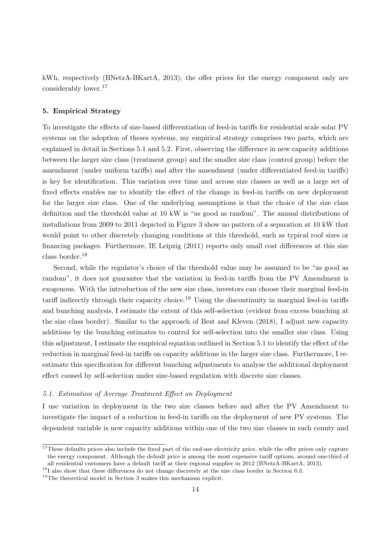kWh, respectively (BNetzA-BKartA, 2013); the offer prices for the energy component only are considerably lower.[17](#page-16-1)

# <span id="page-16-0"></span>5. Empirical Strategy

To investigate the effects of size-based differentiation of feed-in tariffs for residential scale solar PV systems on the adoption of theses systems, my empirical strategy comprises two parts, which are explained in detail in Sections [5.1](#page-16-2) and [5.2.](#page-18-0) First, observing the difference in new capacity additions between the larger size class (treatment group) and the smaller size class (control group) before the amendment (under uniform tariffs) and after the amendment (under differentiated feed-in tariffs) is key for identification. This variation over time and across size classes as well as a large set of fixed effects enables me to identify the effect of the change in feed-in tariffs on new deployment for the larger size class. One of the underlying assumptions is that the choice of the size class definition and the threshold value at 10 kW is "as good as random". The annual distributions of installations from 2009 to 2011 depicted in Figure [3](#page-10-0) show no pattern of a separation at 10 kW that would point to other discretely changing conditions at this threshold, such as typical roof sizes or financing packages. Furthermore, IE Leipzig (2011) reports only small cost differences at this size class border.[18](#page-16-3)

Second, while the regulator's choice of the threshold value may be assumed to be "as good as random", it does not guarantee that the variation in feed-in tariffs from the PV Amendment is exogenous. With the introduction of the new size class, investors can choose their marginal feed-in tariff indirectly through their capacity choice.<sup>[19](#page-16-4)</sup> Using the discontinuity in marginal feed-in tariffs and bunching analysis, I estimate the extent of this self-selection (evident from excess bunching at the size class border). Similar to the approach of Best and Kleven (2018), I adjust new capacity additions by the bunching estimates to control for self-selection into the smaller size class. Using this adjustment, I estimate the empirical equation outlined in Section [5.1](#page-16-2) to identify the effect of the reduction in marginal feed-in tariffs on capacity additions in the larger size class. Furthermore, I reestimate this specification for different bunching adjustments to analyse the additional deployment effect caused by self-selection under size-based regulation with discrete size classes.

#### <span id="page-16-2"></span>5.1. Estimation of Average Treatment Effect on Deployment

I use variation in deployment in the two size classes before and after the PV Amendment to investigate the impact of a reduction in feed-in tariffs on the deployment of new PV systems. The dependent variable is new capacity additions within one of the two size classes in each county and

<span id="page-16-1"></span><sup>&</sup>lt;sup>17</sup>These defaults prices also include the fixed part of the end-use electricity price, while the offer prices only capture the energy component. Although the default price is among the most expensive tariff options, around one-third of all residential customers have a default tariff at their regional supplier in 2012 (BNetzA-BKartA, 2013).

<span id="page-16-3"></span> $^{18}{\rm I}$  also show that these differences do not change discretely at the size class border in Section [6.3.](#page-26-0)

<span id="page-16-4"></span> $19$ The theoretical model in Section [3](#page-11-4) makes this mechanism explicit.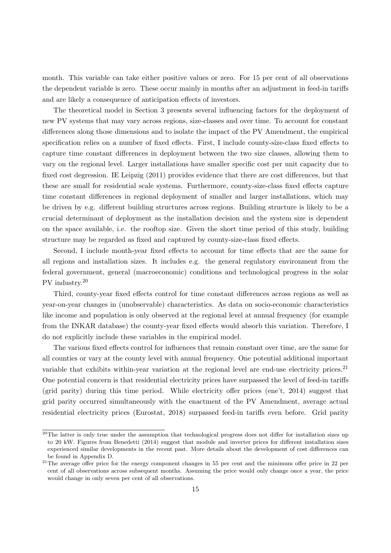month. This variable can take either positive values or zero. For 15 per cent of all observations the dependent variable is zero. These occur mainly in months after an adjustment in feed-in tariffs and are likely a consequence of anticipation effects of investors.

The theoretical model in Section [3](#page-11-4) presents several influencing factors for the deployment of new PV systems that may vary across regions, size-classes and over time. To account for constant differences along those dimensions and to isolate the impact of the PV Amendment, the empirical specification relies on a number of fixed effects. First, I include county-size-class fixed effects to capture time constant differences in deployment between the two size classes, allowing them to vary on the regional level. Larger installations have smaller specific cost per unit capacity due to fixed cost degression. IE Leipzig (2011) provides evidence that there are cost differences, but that these are small for residential scale systems. Furthermore, county-size-class fixed effects capture time constant differences in regional deployment of smaller and larger installations, which may be driven by e.g. different building structures across regions. Building structure is likely to be a crucial determinant of deployment as the installation decision and the system size is dependent on the space available, i.e. the rooftop size. Given the short time period of this study, building structure may be regarded as fixed and captured by county-size-class fixed effects.

Second, I include month-year fixed effects to account for time effects that are the same for all regions and installation sizes. It includes e.g. the general regulatory environment from the federal government, general (macroeconomic) conditions and technological progress in the solar PV industry.[20](#page-17-0)

Third, county-year fixed effects control for time constant differences across regions as well as year-on-year changes in (unobservable) characteristics. As data on socio-economic characteristics like income and population is only observed at the regional level at annual frequency (for example from the INKAR database) the county-year fixed effects would absorb this variation. Therefore, I do not explicitly include these variables in the empirical model.

The various fixed effects control for influences that remain constant over time, are the same for all counties or vary at the county level with annual frequency. One potential additional important variable that exhibits within-year variation at the regional level are end-use electricity prices.<sup>[21](#page-17-1)</sup> One potential concern is that residential electricity prices have surpassed the level of feed-in tariffs (grid parity) during this time period. While electricity offer prices (ene't, 2014) suggest that grid parity occurred simultaneously with the enactment of the PV Amendment, average actual residential electricity prices (Eurostat, 2018) surpassed feed-in tariffs even before. Grid parity

<span id="page-17-0"></span> $\overline{^{20}$ The latter is only true under the assumption that technological progress does not differ for installation sizes up to 20 kW. Figures from Benedetti (2014) suggest that module and inverter prices for different installation sizes experienced similar developments in the recent past. More details about the development of cost differences can be found in Appendix [D.](#page-43-0)

<span id="page-17-1"></span><sup>&</sup>lt;sup>21</sup>The average offer price for the energy component changes in 55 per cent and the minimum offer price in 22 per cent of all observations across subsequent months. Assuming the price would only change once a year, the price would change in only seven per cent of all observations.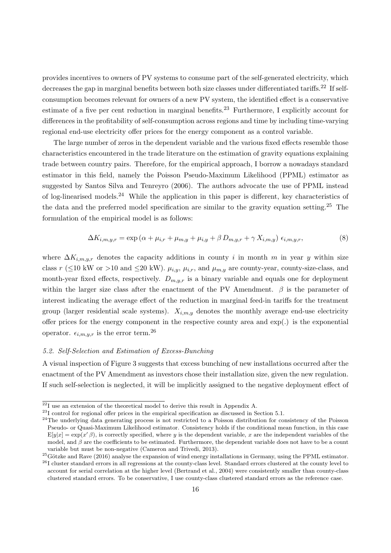provides incentives to owners of PV systems to consume part of the self-generated electricity, which decreases the gap in marginal benefits between both size classes under differentiated tariffs.<sup>[22](#page-18-1)</sup> If selfconsumption becomes relevant for owners of a new PV system, the identified effect is a conservative estimate of a five per cent reduction in marginal benefits.<sup>[23](#page-18-2)</sup> Furthermore, I explicitly account for differences in the profitability of self-consumption across regions and time by including time-varying regional end-use electricity offer prices for the energy component as a control variable.

The large number of zeros in the dependent variable and the various fixed effects resemble those characteristics encountered in the trade literature on the estimation of gravity equations explaining trade between country pairs. Therefore, for the empirical approach, I borrow a nowadays standard estimator in this field, namely the Poisson Pseudo-Maximum Likelihood (PPML) estimator as suggested by Santos Silva and Tenreyro (2006). The authors advocate the use of PPML instead of log-linearised models.[24](#page-18-3) While the application in this paper is different, key characteristics of the data and the preferred model specification are similar to the gravity equation setting.[25](#page-18-4) The formulation of the empirical model is as follows:

<span id="page-18-6"></span>
$$
\Delta K_{i,m,y,r} = \exp\left(\alpha + \mu_{i,r} + \mu_{m,y} + \mu_{i,y} + \beta D_{m,y,r} + \gamma X_{i,m,y}\right) \epsilon_{i,m,y,r},\tag{8}
$$

where  $\Delta K_{i,m,y,r}$  denotes the capacity additions in county i in month m in year y within size class r ( $\leq$ 10 kW or >10 and  $\leq$ 20 kW).  $\mu_{i,y}$ ,  $\mu_{i,r}$ , and  $\mu_{m,y}$  are county-year, county-size-class, and month-year fixed effects, respectively.  $D_{m,y,r}$  is a binary variable and equals one for deployment within the larger size class after the enactment of the PV Amendment.  $\beta$  is the parameter of interest indicating the average effect of the reduction in marginal feed-in tariffs for the treatment group (larger residential scale systems).  $X_{i,m,y}$  denotes the monthly average end-use electricity offer prices for the energy component in the respective county area and exp(.) is the exponential operator.  $\epsilon_{i,m,y,r}$  is the error term.<sup>[26](#page-18-5)</sup>

#### <span id="page-18-0"></span>5.2. Self-Selection and Estimation of Excess-Bunching

A visual inspection of Figure [3](#page-10-0) suggests that excess bunching of new installations occurred after the enactment of the PV Amendment as investors chose their installation size, given the new regulation. If such self-selection is neglected, it will be implicitly assigned to the negative deployment effect of

<span id="page-18-1"></span> $22I$  use an extension of the theoretical model to derive this result in Appendix [A.](#page-35-0)

<span id="page-18-2"></span><sup>23</sup>I control for regional offer prices in the empirical specification as discussed in Section [5.1.](#page-16-2)

<span id="page-18-3"></span> $24$ The underlying data generating process is not restricted to a Poisson distribution for consistency of the Poisson Pseudo- or Quasi-Maximum Likelihood estimator. Consistency holds if the conditional mean function, in this case  $E[y|x] = \exp(x' \beta)$ , is correctly specified, where y is the dependent variable, x are the independent variables of the model, and  $\beta$  are the coefficients to be estimated. Furthermore, the dependent variable does not have to be a count variable but must be non-negative (Cameron and Trivedi, 2013).

<span id="page-18-5"></span><span id="page-18-4"></span> $^{25}$ Götzke and Rave (2016) analyse the expansion of wind energy installations in Germany, using the PPML estimator.  $^{26}$ I cluster standard errors in all regressions at the county-class level. Standard errors clustered at the county level to account for serial correlation at the higher level (Bertrand et al., 2004) were consistently smaller than county-class clustered standard errors. To be conservative, I use county-class clustered standard errors as the reference case.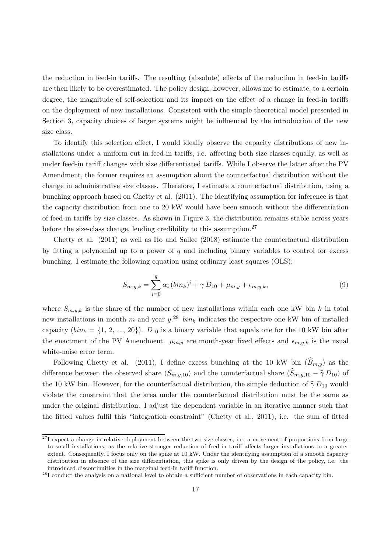the reduction in feed-in tariffs. The resulting (absolute) effects of the reduction in feed-in tariffs are then likely to be overestimated. The policy design, however, allows me to estimate, to a certain degree, the magnitude of self-selection and its impact on the effect of a change in feed-in tariffs on the deployment of new installations. Consistent with the simple theoretical model presented in Section [3,](#page-11-4) capacity choices of larger systems might be influenced by the introduction of the new size class.

To identify this selection effect, I would ideally observe the capacity distributions of new installations under a uniform cut in feed-in tariffs, i.e. affecting both size classes equally, as well as under feed-in tariff changes with size differentiated tariffs. While I observe the latter after the PV Amendment, the former requires an assumption about the counterfactual distribution without the change in administrative size classes. Therefore, I estimate a counterfactual distribution, using a bunching approach based on Chetty et al. (2011). The identifying assumption for inference is that the capacity distribution from one to 20 kW would have been smooth without the differentiation of feed-in tariffs by size classes. As shown in Figure [3,](#page-10-0) the distribution remains stable across years before the size-class change, lending credibility to this assumption.<sup>[27](#page-19-0)</sup>

Chetty et al. (2011) as well as Ito and Sallee (2018) estimate the counterfactual distribution by fitting a polynomial up to a power of  $q$  and including binary variables to control for excess bunching. I estimate the following equation using ordinary least squares (OLS):

$$
S_{m,y,k} = \sum_{i=0}^{q} \alpha_i (bin_k)^i + \gamma D_{10} + \mu_{m,y} + \epsilon_{m,y,k}, \qquad (9)
$$

where  $S_{m,y,k}$  is the share of the number of new installations within each one kW bin k in total new installations in month m and year  $y^{28}$  $y^{28}$  $y^{28}$   $\sin_k$  indicates the respective one kW bin of installed capacity  $(bin_k = \{1, 2, ..., 20\})$ .  $D_{10}$  is a binary variable that equals one for the 10 kW bin after the enactment of the PV Amendment.  $\mu_{m,y}$  are month-year fixed effects and  $\epsilon_{m,y,k}$  is the usual white-noise error term.

Following Chetty et al. (2011), I define excess bunching at the 10 kW bin  $(\widehat{B}_{m,y})$  as the difference between the observed share  $(S_{m,y,10})$  and the counterfactual share  $(\widehat{S}_{m,y,10} - \widehat{\gamma} D_{10})$  of the 10 kW bin. However, for the counterfactual distribution, the simple deduction of  $\hat{\gamma} D_{10}$  would violate the constraint that the area under the counterfactual distribution must be the same as under the original distribution. I adjust the dependent variable in an iterative manner such that the fitted values fulfil this "integration constraint" (Chetty et al., 2011), i.e. the sum of fitted

<span id="page-19-0"></span> $^{27}$ I expect a change in relative deployment between the two size classes, i.e. a movement of proportions from large to small installations, as the relative stronger reduction of feed-in tariff affects larger installations to a greater extent. Consequently, I focus only on the spike at 10 kW. Under the identifying assumption of a smooth capacity distribution in absence of the size differentiation, this spike is only driven by the design of the policy, i.e. the introduced discontinuities in the marginal feed-in tariff function.

<span id="page-19-1"></span><sup>&</sup>lt;sup>28</sup>I conduct the analysis on a national level to obtain a sufficient number of observations in each capacity bin.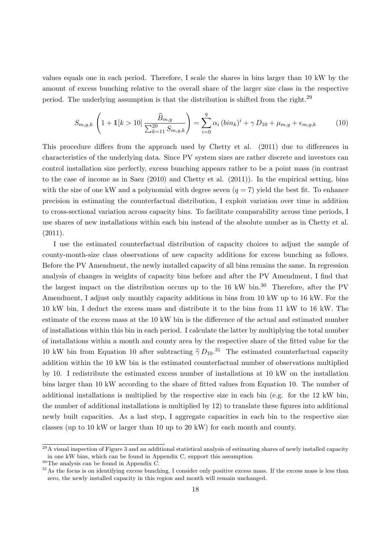values equals one in each period. Therefore, I scale the shares in bins larger than 10 kW by the amount of excess bunching relative to the overall share of the larger size class in the respective period. The underlying assumption is that the distribution is shifted from the right.[29](#page-20-0)

<span id="page-20-2"></span>
$$
S_{m,y,k} \left( 1 + \mathbb{1}[k > 10] \frac{\widehat{B}_{m,y}}{\sum_{k=11}^{20} S_{m,y,k}} \right) = \sum_{i=0}^{q} \alpha_i \left( bin_k \right)^i + \gamma D_{10} + \mu_{m,y} + \epsilon_{m,y,k} \tag{10}
$$

This procedure differs from the approach used by Chetty et al. (2011) due to differences in characteristics of the underlying data. Since PV system sizes are rather discrete and investors can control installation size perfectly, excess bunching appears rather to be a point mass (in contrast to the case of income as in Saez (2010) and Chetty et al. (2011)). In the empirical setting, bins with the size of one kW and a polynomial with degree seven  $(q = 7)$  yield the best fit. To enhance precision in estimating the counterfactual distribution, I exploit variation over time in addition to cross-sectional variation across capacity bins. To facilitate comparability across time periods, I use shares of new installations within each bin instead of the absolute number as in Chetty et al. (2011).

I use the estimated counterfactual distribution of capacity choices to adjust the sample of county-month-size class observations of new capacity additions for excess bunching as follows. Before the PV Amendment, the newly installed capacity of all bins remains the same. In regression analysis of changes in weights of capacity bins before and after the PV Amendment, I find that the largest impact on the distribution occurs up to the  $16$  kW bin.<sup>[30](#page-20-1)</sup> Therefore, after the PV Amendment, I adjust only monthly capacity additions in bins from 10 kW up to 16 kW. For the 10 kW bin, I deduct the excess mass and distribute it to the bins from 11 kW to 16 kW. The estimate of the excess mass at the 10 kW bin is the difference of the actual and estimated number of installations within this bin in each period. I calculate the latter by multiplying the total number of installations within a month and county area by the respective share of the fitted value for the 10 kW bin from Equation [10](#page-20-2) after subtracting  $\hat{\gamma} D_{10}$ .<sup>[31](#page-20-3)</sup> The estimated counterfactual capacity addition within the 10 kW bin is the estimated counterfactual number of observations multiplied by 10. I redistribute the estimated excess number of installations at 10 kW on the installation bins larger than 10 kW according to the share of fitted values from Equation [10.](#page-20-2) The number of additional installations is multiplied by the respective size in each bin (e.g. for the 12 kW bin, the number of additional installations is multiplied by 12) to translate these figures into additional newly built capacities. As a last step, I aggregate capacities in each bin to the respective size classes (up to 10 kW or larger than 10 up to 20 kW) for each month and county.

<span id="page-20-0"></span> $^{29}$ A visual inspection of Figure [3](#page-10-0) and an additional statistical analysis of estimating shares of newly installed capacity in one kW bins, which can be found in Appendix [C,](#page-41-0) support this assumption.

<span id="page-20-1"></span> $^{30}\mathrm{The}$  analysis can be found in Appendix [C.](#page-41-0)

<span id="page-20-3"></span><sup>&</sup>lt;sup>31</sup>As the focus is on identifying excess bunching, I consider only positive excess mass. If the excess mass is less than zero, the newly installed capacity in this region and month will remain unchanged.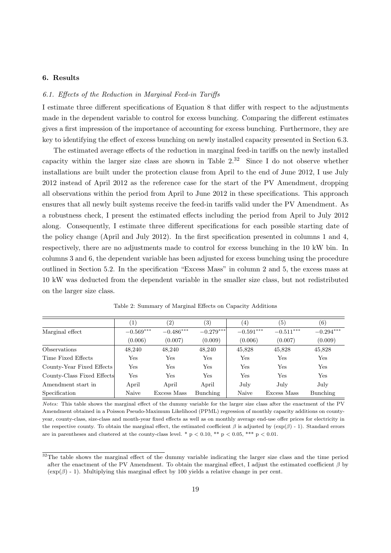# <span id="page-21-0"></span>6. Results

#### <span id="page-21-3"></span>6.1. Effects of the Reduction in Marginal Feed-in Tariffs

I estimate three different specifications of Equation [8](#page-18-6) that differ with respect to the adjustments made in the dependent variable to control for excess bunching. Comparing the different estimates gives a first impression of the importance of accounting for excess bunching. Furthermore, they are key to identifying the effect of excess bunching on newly installed capacity presented in Section [6.3.](#page-26-0)

The estimated average effects of the reduction in marginal feed-in tariffs on the newly installed capacity within the larger size class are shown in Table  $2^{32}$  $2^{32}$  $2^{32}$  Since I do not observe whether installations are built under the protection clause from April to the end of June 2012, I use July 2012 instead of April 2012 as the reference case for the start of the PV Amendment, dropping all observations within the period from April to June 2012 in these specifications. This approach ensures that all newly built systems receive the feed-in tariffs valid under the PV Amendment. As a robustness check, I present the estimated effects including the period from April to July 2012 along. Consequently, I estimate three different specifications for each possible starting date of the policy change (April and July 2012). In the first specification presented in columns 1 and 4, respectively, there are no adjustments made to control for excess bunching in the 10 kW bin. In columns 3 and 6, the dependent variable has been adjusted for excess bunching using the procedure outlined in Section [5.2.](#page-18-0) In the specification "Excess Mass" in column 2 and 5, the excess mass at 10 kW was deducted from the dependent variable in the smaller size class, but not redistributed on the larger size class.

<span id="page-21-1"></span>

|                            | $\left(1\right)$ | (2)         | $\left( 3\right)$ | $\left( 4\right)$ | (5)          | (6)         |
|----------------------------|------------------|-------------|-------------------|-------------------|--------------|-------------|
| Marginal effect            | $-0.569***$      | $-0.486***$ | $-0.279***$       | $-0.591***$       | $-0.511***$  | $-0.294***$ |
|                            | (0.006)          | (0.007)     | (0.009)           | (0.006)           | (0.007)      | (0.009)     |
| <i><b>Observations</b></i> | 48.240           | 48,240      | 48,240            | 45,828            | 45,828       | 45,828      |
| Time Fixed Effects         | Yes              | Yes         | $_{\rm Yes}$      | Yes               | $_{\rm Yes}$ | Yes         |
| County-Year Fixed Effects  | Yes              | Yes         | $_{\rm Yes}$      | Yes               | $_{\rm Yes}$ | Yes         |
| County-Class Fixed Effects | Yes              | Yes         | $_{\rm Yes}$      | Yes               | $_{\rm Yes}$ | Yes         |
| Amendment start in         | April            | April       | April             | July              | July         | July        |
| Specification              | Naive            | Excess Mass | Bunching          | Naive             | Excess Mass  | Bunching    |

Table 2: Summary of Marginal Effects on Capacity Additions

Notes: This table shows the marginal effect of the dummy variable for the larger size class after the enactment of the PV Amendment obtained in a Poisson Pseudo-Maximum Likelihood (PPML) regression of monthly capacity additions on countyyear, county-class, size-class and month-year fixed effects as well as on monthly average end-use offer prices for electricity in the respective county. To obtain the marginal effect, the estimated coefficient  $\beta$  is adjusted by (exp( $\beta$ ) - 1). Standard errors are in parentheses and clustered at the county-class level. \*  $p < 0.10$ , \*\*  $p < 0.05$ , \*\*\*  $p < 0.01$ .

<span id="page-21-2"></span> $32$ The table shows the marginal effect of the dummy variable indicating the larger size class and the time period after the enactment of the PV Amendment. To obtain the marginal effect, I adjust the estimated coefficient  $\beta$  by  $(\exp(\beta) - 1)$ . Multiplying this marginal effect by 100 yields a relative change in per cent.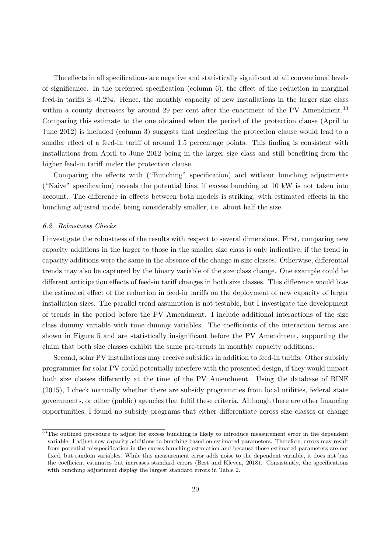The effects in all specifications are negative and statistically significant at all conventional levels of significance. In the preferred specification (column 6), the effect of the reduction in marginal feed-in tariffs is -0.294. Hence, the monthly capacity of new installations in the larger size class within a county decreases by around 29 per cent after the enactment of the PV Amendment.<sup>[33](#page-22-0)</sup> Comparing this estimate to the one obtained when the period of the protection clause (April to June 2012) is included (column 3) suggests that neglecting the protection clause would lead to a smaller effect of a feed-in tariff of around 1.5 percentage points. This finding is consistent with installations from April to June 2012 being in the larger size class and still benefiting from the higher feed-in tariff under the protection clause.

Comparing the effects with ("Bunching" specification) and without bunching adjustments ("Naive" specification) reveals the potential bias, if excess bunching at 10 kW is not taken into account. The difference in effects between both models is striking, with estimated effects in the bunching adjusted model being considerably smaller, i.e. about half the size.

#### 6.2. Robustness Checks

I investigate the robustness of the results with respect to several dimensions. First, comparing new capacity additions in the larger to those in the smaller size class is only indicative, if the trend in capacity additions were the same in the absence of the change in size classes. Otherwise, differential trends may also be captured by the binary variable of the size class change. One example could be different anticipation effects of feed-in tariff changes in both size classes. This difference would bias the estimated effect of the reduction in feed-in tariffs on the deployment of new capacity of larger installation sizes. The parallel trend assumption is not testable, but I investigate the development of trends in the period before the PV Amendment. I include additional interactions of the size class dummy variable with time dummy variables. The coefficients of the interaction terms are shown in Figure [5](#page-23-0) and are statistically insignificant before the PV Amendment, supporting the claim that both size classes exhibit the same pre-trends in monthly capacity additions.

Second, solar PV installations may receive subsidies in addition to feed-in tariffs. Other subsidy programmes for solar PV could potentially interfere with the presented design, if they would impact both size classes differently at the time of the PV Amendment. Using the database of BINE (2015), I check manually whether there are subsidy programmes from local utilities, federal state governments, or other (public) agencies that fulfil these criteria. Although there are other financing opportunities, I found no subsidy programs that either differentiate across size classes or change

<span id="page-22-0"></span><sup>&</sup>lt;sup>33</sup>The outlined procedure to adjust for excess bunching is likely to introduce measurement error in the dependent variable. I adjust new capacity additions to bunching based on estimated parameters. Therefore, errors may result from potential misspecification in the excess bunching estimation and because those estimated parameters are not fixed, but random variables. While this measurement error adds noise to the dependent variable, it does not bias the coefficient estimates but increases standard errors (Best and Kleven, 2018). Consistently, the specifications with bunching adjustment display the largest standard errors in Table [2.](#page-21-1)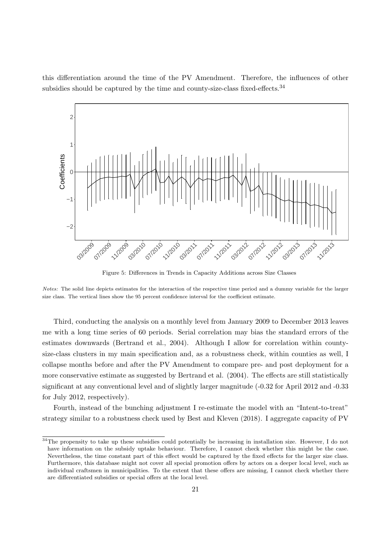this differentiation around the time of the PV Amendment. Therefore, the influences of other subsidies should be captured by the time and county-size-class fixed-effects.<sup>[34](#page-23-1)</sup>

<span id="page-23-0"></span>

Figure 5: Differences in Trends in Capacity Additions across Size Classes

Notes: The solid line depicts estimates for the interaction of the respective time period and a dummy variable for the larger size class. The vertical lines show the 95 percent confidence interval for the coefficient estimate.

Third, conducting the analysis on a monthly level from January 2009 to December 2013 leaves me with a long time series of 60 periods. Serial correlation may bias the standard errors of the estimates downwards (Bertrand et al., 2004). Although I allow for correlation within countysize-class clusters in my main specification and, as a robustness check, within counties as well, I collapse months before and after the PV Amendment to compare pre- and post deployment for a more conservative estimate as suggested by Bertrand et al. (2004). The effects are still statistically significant at any conventional level and of slightly larger magnitude (-0.32 for April 2012 and -0.33 for July 2012, respectively).

Fourth, instead of the bunching adjustment I re-estimate the model with an "Intent-to-treat" strategy similar to a robustness check used by Best and Kleven (2018). I aggregate capacity of PV

<span id="page-23-1"></span><sup>&</sup>lt;sup>34</sup>The propensity to take up these subsidies could potentially be increasing in installation size. However, I do not have information on the subsidy uptake behaviour. Therefore, I cannot check whether this might be the case. Nevertheless, the time constant part of this effect would be captured by the fixed effects for the larger size class. Furthermore, this database might not cover all special promotion offers by actors on a deeper local level, such as individual craftsmen in municipalities. To the extent that these offers are missing, I cannot check whether there are differentiated subsidies or special offers at the local level.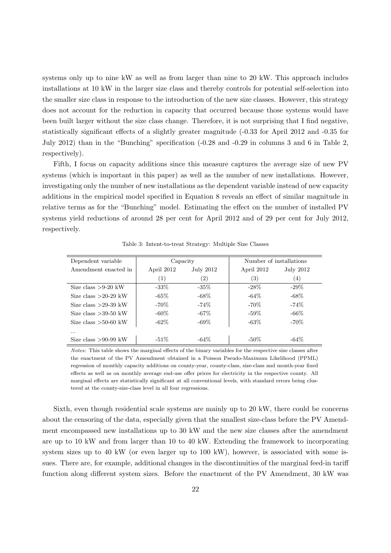systems only up to nine kW as well as from larger than nine to 20 kW. This approach includes installations at 10 kW in the larger size class and thereby controls for potential self-selection into the smaller size class in response to the introduction of the new size classes. However, this strategy does not account for the reduction in capacity that occurred because those systems would have been built larger without the size class change. Therefore, it is not surprising that I find negative, statistically significant effects of a slightly greater magnitude (-0.33 for April 2012 and -0.35 for July 2012) than in the "Bunching" specification (-0.28 and -0.29 in columns 3 and 6 in Table [2,](#page-21-1) respectively).

Fifth, I focus on capacity additions since this measure captures the average size of new PV systems (which is important in this paper) as well as the number of new installations. However, investigating only the number of new installations as the dependent variable instead of new capacity additions in the empirical model specified in Equation [8](#page-18-6) reveals an effect of similar magnitude in relative terms as for the "Bunching" model. Estimating the effect on the number of installed PV systems yield reductions of around 28 per cent for April 2012 and of 29 per cent for July 2012, respectively.

<span id="page-24-0"></span>

| Dependent variable     | Capacity                       |                   | Number of installations |                   |  |
|------------------------|--------------------------------|-------------------|-------------------------|-------------------|--|
| Amendment enacted in   | April 2012<br><b>July 2012</b> |                   | April 2012              | July 2012         |  |
|                        | (1)                            | $\left( 2\right)$ | (3)                     | $\left( 4\right)$ |  |
| Size class $>9-20$ kW  | $-33\%$                        | $-35\%$           | $-28\%$                 | $-29\%$           |  |
| Size class $>20-29$ kW | $-65\%$                        | $-68\%$           | $-64\%$                 | $-68\%$           |  |
| Size class $>29-39$ kW | $-70\%$                        | $-74\%$           | $-70\%$                 | $-74\%$           |  |
| Size class $>39-50$ kW | $-60\%$                        | $-67\%$           | $-59\%$                 | $-66\%$           |  |
| Size class $>50-60$ kW | $-62\%$                        | $-69\%$           | $-63\%$                 | $-70\%$           |  |
| .                      |                                |                   |                         |                   |  |
| Size class $>90-99$ kW | $-51\%$                        | $-64\%$           | $-50\%$                 | $-64\%$           |  |

Table 3: Intent-to-treat Strategy: Multiple Size Classes

Notes: This table shows the marginal effects of the binary variables for the respective size classes after the enactment of the PV Amendment obtained in a Poisson Pseudo-Maximum Likelihood (PPML) regression of monthly capacity additions on county-year, county-class, size-class and month-year fixed effects as well as on monthly average end-use offer prices for electricity in the respective county. All marginal effects are statistically significant at all conventional levels, with standard errors being clustered at the county-size-class level in all four regressions.

Sixth, even though residential scale systems are mainly up to 20 kW, there could be concerns about the censoring of the data, especially given that the smallest size-class before the PV Amendment encompassed new installations up to 30 kW and the new size classes after the amendment are up to 10 kW and from larger than 10 to 40 kW. Extending the framework to incorporating system sizes up to 40 kW (or even larger up to 100 kW), however, is associated with some issues. There are, for example, additional changes in the discontinuities of the marginal feed-in tariff function along different system sizes. Before the enactment of the PV Amendment, 30 kW was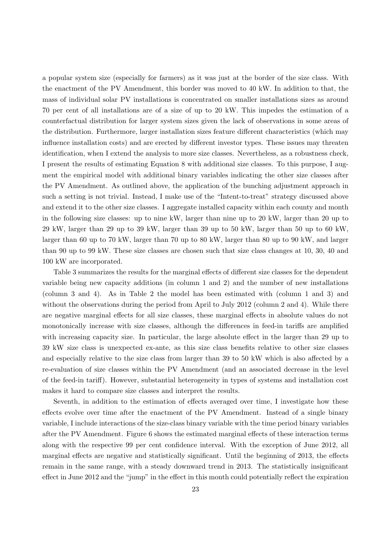a popular system size (especially for farmers) as it was just at the border of the size class. With the enactment of the PV Amendment, this border was moved to 40 kW. In addition to that, the mass of individual solar PV installations is concentrated on smaller installations sizes as around 70 per cent of all installations are of a size of up to 20 kW. This impedes the estimation of a counterfactual distribution for larger system sizes given the lack of observations in some areas of the distribution. Furthermore, larger installation sizes feature different characteristics (which may influence installation costs) and are erected by different investor types. These issues may threaten identification, when I extend the analysis to more size classes. Nevertheless, as a robustness check, I present the results of estimating Equation [8](#page-18-6) with additional size classes. To this purpose, I augment the empirical model with additional binary variables indicating the other size classes after the PV Amendment. As outlined above, the application of the bunching adjustment approach in such a setting is not trivial. Instead, I make use of the "Intent-to-treat" strategy discussed above and extend it to the other size classes. I aggregate installed capacity within each county and month in the following size classes: up to nine kW, larger than nine up to 20 kW, larger than 20 up to 29 kW, larger than 29 up to 39 kW, larger than 39 up to 50 kW, larger than 50 up to 60 kW, larger than 60 up to 70 kW, larger than 70 up to 80 kW, larger than 80 up to 90 kW, and larger than 90 up to 99 kW. These size classes are chosen such that size class changes at 10, 30, 40 and 100 kW are incorporated.

Table [3](#page-24-0) summarizes the results for the marginal effects of different size classes for the dependent variable being new capacity additions (in column 1 and 2) and the number of new installations (column 3 and 4). As in Table [2](#page-21-1) the model has been estimated with (column 1 and 3) and without the observations during the period from April to July 2012 (column 2 and 4). While there are negative marginal effects for all size classes, these marginal effects in absolute values do not monotonically increase with size classes, although the differences in feed-in tariffs are amplified with increasing capacity size. In particular, the large absolute effect in the larger than 29 up to 39 kW size class is unexpected ex-ante, as this size class benefits relative to other size classes and especially relative to the size class from larger than 39 to 50 kW which is also affected by a re-evaluation of size classes within the PV Amendment (and an associated decrease in the level of the feed-in tariff). However, substantial heterogeneity in types of systems and installation cost makes it hard to compare size classes and interpret the results.

Seventh, in addition to the estimation of effects averaged over time, I investigate how these effects evolve over time after the enactment of the PV Amendment. Instead of a single binary variable, I include interactions of the size-class binary variable with the time period binary variables after the PV Amendment. Figure [6](#page-26-1) shows the estimated marginal effects of these interaction terms along with the respective 99 per cent confidence interval. With the exception of June 2012, all marginal effects are negative and statistically significant. Until the beginning of 2013, the effects remain in the same range, with a steady downward trend in 2013. The statistically insignificant effect in June 2012 and the "jump" in the effect in this month could potentially reflect the expiration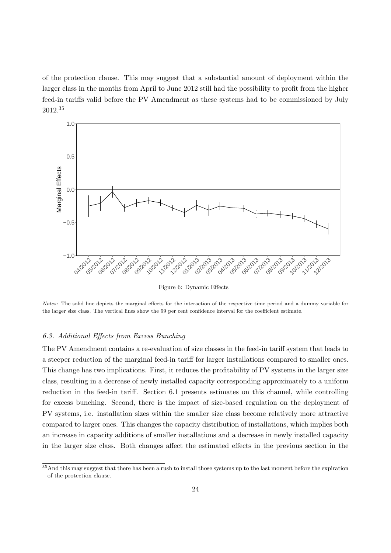of the protection clause. This may suggest that a substantial amount of deployment within the larger class in the months from April to June 2012 still had the possibility to profit from the higher feed-in tariffs valid before the PV Amendment as these systems had to be commissioned by July 2012.[35](#page-26-2)

<span id="page-26-1"></span>

Figure 6: Dynamic Effects

Notes: The solid line depicts the marginal effects for the interaction of the respective time period and a dummy variable for the larger size class. The vertical lines show the 99 per cent confidence interval for the coefficient estimate.

# <span id="page-26-0"></span>6.3. Additional Effects from Excess Bunching

The PV Amendment contains a re-evaluation of size classes in the feed-in tariff system that leads to a steeper reduction of the marginal feed-in tariff for larger installations compared to smaller ones. This change has two implications. First, it reduces the profitability of PV systems in the larger size class, resulting in a decrease of newly installed capacity corresponding approximately to a uniform reduction in the feed-in tariff. Section [6.1](#page-21-3) presents estimates on this channel, while controlling for excess bunching. Second, there is the impact of size-based regulation on the deployment of PV systems, i.e. installation sizes within the smaller size class become relatively more attractive compared to larger ones. This changes the capacity distribution of installations, which implies both an increase in capacity additions of smaller installations and a decrease in newly installed capacity in the larger size class. Both changes affect the estimated effects in the previous section in the

<span id="page-26-2"></span> $\frac{35}{35}$ And this may suggest that there has been a rush to install those systems up to the last moment before the expiration of the protection clause.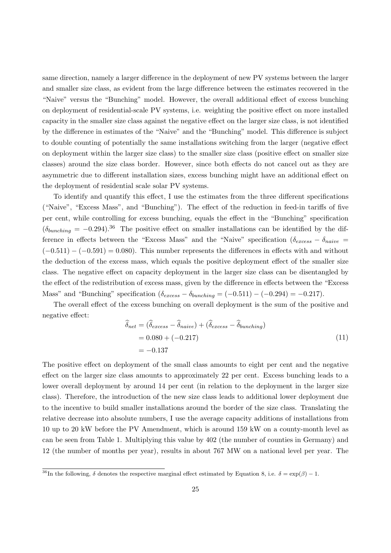same direction, namely a larger difference in the deployment of new PV systems between the larger and smaller size class, as evident from the large difference between the estimates recovered in the "Naive" versus the "Bunching" model. However, the overall additional effect of excess bunching on deployment of residential-scale PV systems, i.e. weighting the positive effect on more installed capacity in the smaller size class against the negative effect on the larger size class, is not identified by the difference in estimates of the "Naive" and the "Bunching" model. This difference is subject to double counting of potentially the same installations switching from the larger (negative effect on deployment within the larger size class) to the smaller size class (positive effect on smaller size classes) around the size class border. However, since both effects do not cancel out as they are asymmetric due to different installation sizes, excess bunching might have an additional effect on the deployment of residential scale solar PV systems.

To identify and quantify this effect, I use the estimates from the three different specifications ("Naive", "Excess Mass", and "Bunching"). The effect of the reduction in feed-in tariffs of five per cent, while controlling for excess bunching, equals the effect in the "Bunching" specification  $(\delta_{bunching} = -0.294).$ <sup>[36](#page-27-0)</sup> The positive effect on smaller installations can be identified by the difference in effects between the "Excess Mass" and the "Naive" specification ( $\delta_{excess} - \delta_{naive}$  $(-0.511) - (-0.591) = 0.080$ . This number represents the differences in effects with and without the deduction of the excess mass, which equals the positive deployment effect of the smaller size class. The negative effect on capacity deployment in the larger size class can be disentangled by the effect of the redistribution of excess mass, given by the difference in effects between the "Excess Mass" and "Bunching" specification  $(\delta_{excess} - \delta_{bunching} = (-0.511) - (-0.294) = -0.217)$ .

The overall effect of the excess bunching on overall deployment is the sum of the positive and negative effect:

$$
\hat{\delta}_{net} = (\hat{\delta}_{excess} - \hat{\delta}_{naive}) + (\hat{\delta}_{excess} - \hat{\delta}_{bunching})
$$
  
= 0.080 + (-0.217)  
= -0.137 (11)

The positive effect on deployment of the small class amounts to eight per cent and the negative effect on the larger size class amounts to approximately 22 per cent. Excess bunching leads to a lower overall deployment by around 14 per cent (in relation to the deployment in the larger size class). Therefore, the introduction of the new size class leads to additional lower deployment due to the incentive to build smaller installations around the border of the size class. Translating the relative decrease into absolute numbers, I use the average capacity additions of installations from 10 up to 20 kW before the PV Amendment, which is around 159 kW on a county-month level as can be seen from Table [1.](#page-15-0) Multiplying this value by 402 (the number of counties in Germany) and 12 (the number of months per year), results in about 767 MW on a national level per year. The

<span id="page-27-0"></span> $\frac{36}{10}$  The following,  $\delta$  denotes the respective marginal effect estimated by Equation [8,](#page-18-6) i.e.  $\delta = \exp(\beta) - 1$ .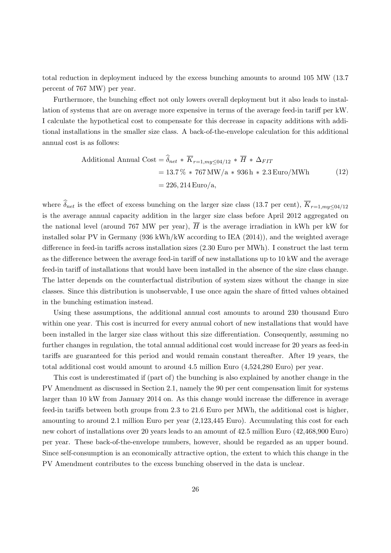total reduction in deployment induced by the excess bunching amounts to around 105 MW (13.7 percent of 767 MW) per year.

Furthermore, the bunching effect not only lowers overall deployment but it also leads to installation of systems that are on average more expensive in terms of the average feed-in tariff per kW. I calculate the hypothetical cost to compensate for this decrease in capacity additions with additional installations in the smaller size class. A back-of-the-envelope calculation for this additional annual cost is as follows:

Additional Annual Cost = 
$$
\begin{aligned} \hat{\delta}_{net} & \ast \overline{K}_{r=1, my\leq 04/12} \ast \overline{H} \ast \Delta_{FIT} \\ & = 13.7\% \ast 767 \,\mathrm{MW/a} \ast 936 \,\mathrm{h} \ast 2.3 \,\mathrm{Euro/MWh} \\ & = 226,214 \,\mathrm{Euro/a}, \end{aligned} \tag{12}
$$

where  $\widehat{\delta}_{net}$  is the effect of excess bunching on the larger size class (13.7 per cent),  $\overline{K}_{r=1,m\nu\leq 04/12}$ is the average annual capacity addition in the larger size class before April 2012 aggregated on the national level (around 767 MW per year),  $\overline{H}$  is the average irradiation in kWh per kW for installed solar PV in Germany (936 kWh/kW according to IEA (2014)), and the weighted average difference in feed-in tariffs across installation sizes (2.30 Euro per MWh). I construct the last term as the difference between the average feed-in tariff of new installations up to 10 kW and the average feed-in tariff of installations that would have been installed in the absence of the size class change. The latter depends on the counterfactual distribution of system sizes without the change in size classes. Since this distribution is unobservable, I use once again the share of fitted values obtained in the bunching estimation instead.

Using these assumptions, the additional annual cost amounts to around 230 thousand Euro within one year. This cost is incurred for every annual cohort of new installations that would have been installed in the larger size class without this size differentiation. Consequently, assuming no further changes in regulation, the total annual additional cost would increase for 20 years as feed-in tariffs are guaranteed for this period and would remain constant thereafter. After 19 years, the total additional cost would amount to around 4.5 million Euro (4,524,280 Euro) per year.

This cost is underestimated if (part of) the bunching is also explained by another change in the PV Amendment as discussed in Section [2.1,](#page-6-2) namely the 90 per cent compensation limit for systems larger than 10 kW from January 2014 on. As this change would increase the difference in average feed-in tariffs between both groups from 2.3 to 21.6 Euro per MWh, the additional cost is higher, amounting to around 2.1 million Euro per year (2,123,445 Euro). Accumulating this cost for each new cohort of installations over 20 years leads to an amount of 42.5 million Euro (42,468,900 Euro) per year. These back-of-the-envelope numbers, however, should be regarded as an upper bound. Since self-consumption is an economically attractive option, the extent to which this change in the PV Amendment contributes to the excess bunching observed in the data is unclear.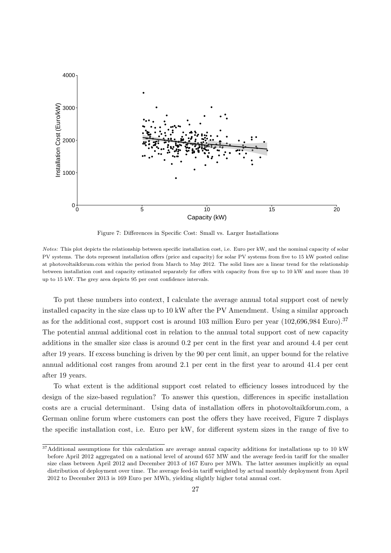<span id="page-29-1"></span>

Figure 7: Differences in Specific Cost: Small vs. Larger Installations

Notes: This plot depicts the relationship between specific installation cost, i.e. Euro per kW, and the nominal capacity of solar PV systems. The dots represent installation offers (price and capacity) for solar PV systems from five to 15 kW posted online at photovoltaikforum.com within the period from March to May 2012. The solid lines are a linear trend for the relationship between installation cost and capacity estimated separately for offers with capacity from five up to 10 kW and more than 10 up to 15 kW. The grey area depicts 95 per cent confidence intervals.

To put these numbers into context, I calculate the average annual total support cost of newly installed capacity in the size class up to 10 kW after the PV Amendment. Using a similar approach as for the additional cost, support cost is around 103 million Euro per year (102,696,984 Euro).<sup>[37](#page-29-0)</sup> The potential annual additional cost in relation to the annual total support cost of new capacity additions in the smaller size class is around 0.2 per cent in the first year and around 4.4 per cent after 19 years. If excess bunching is driven by the 90 per cent limit, an upper bound for the relative annual additional cost ranges from around 2.1 per cent in the first year to around 41.4 per cent after 19 years.

To what extent is the additional support cost related to efficiency losses introduced by the design of the size-based regulation? To answer this question, differences in specific installation costs are a crucial determinant. Using data of installation offers in photovoltaikforum.com, a German online forum where customers can post the offers they have received, Figure [7](#page-29-1) displays the specific installation cost, i.e. Euro per kW, for different system sizes in the range of five to

<span id="page-29-0"></span> $37$ Additional assumptions for this calculation are average annual capacity additions for installations up to 10 kW before April 2012 aggregated on a national level of around 657 MW and the average feed-in tariff for the smaller size class between April 2012 and December 2013 of 167 Euro per MWh. The latter assumes implicitly an equal distribution of deployment over time. The average feed-in tariff weighted by actual monthly deployment from April 2012 to December 2013 is 169 Euro per MWh, yielding slightly higher total annual cost.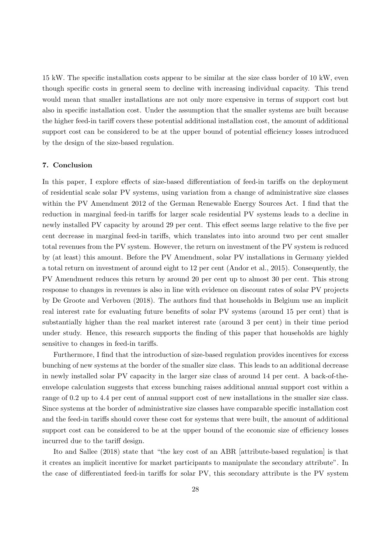15 kW. The specific installation costs appear to be similar at the size class border of 10 kW, even though specific costs in general seem to decline with increasing individual capacity. This trend would mean that smaller installations are not only more expensive in terms of support cost but also in specific installation cost. Under the assumption that the smaller systems are built because the higher feed-in tariff covers these potential additional installation cost, the amount of additional support cost can be considered to be at the upper bound of potential efficiency losses introduced by the design of the size-based regulation.

#### <span id="page-30-0"></span>7. Conclusion

In this paper, I explore effects of size-based differentiation of feed-in tariffs on the deployment of residential scale solar PV systems, using variation from a change of administrative size classes within the PV Amendment 2012 of the German Renewable Energy Sources Act. I find that the reduction in marginal feed-in tariffs for larger scale residential PV systems leads to a decline in newly installed PV capacity by around 29 per cent. This effect seems large relative to the five per cent decrease in marginal feed-in tariffs, which translates into into around two per cent smaller total revenues from the PV system. However, the return on investment of the PV system is reduced by (at least) this amount. Before the PV Amendment, solar PV installations in Germany yielded a total return on investment of around eight to 12 per cent (Andor et al., 2015). Consequently, the PV Amendment reduces this return by around 20 per cent up to almost 30 per cent. This strong response to changes in revenues is also in line with evidence on discount rates of solar PV projects by De Groote and Verboven (2018). The authors find that households in Belgium use an implicit real interest rate for evaluating future benefits of solar PV systems (around 15 per cent) that is substantially higher than the real market interest rate (around 3 per cent) in their time period under study. Hence, this research supports the finding of this paper that households are highly sensitive to changes in feed-in tariffs.

Furthermore, I find that the introduction of size-based regulation provides incentives for excess bunching of new systems at the border of the smaller size class. This leads to an additional decrease in newly installed solar PV capacity in the larger size class of around 14 per cent. A back-of-theenvelope calculation suggests that excess bunching raises additional annual support cost within a range of 0.2 up to 4.4 per cent of annual support cost of new installations in the smaller size class. Since systems at the border of administrative size classes have comparable specific installation cost and the feed-in tariffs should cover these cost for systems that were built, the amount of additional support cost can be considered to be at the upper bound of the economic size of efficiency losses incurred due to the tariff design.

Ito and Sallee (2018) state that "the key cost of an ABR [attribute-based regulation] is that it creates an implicit incentive for market participants to manipulate the secondary attribute". In the case of differentiated feed-in tariffs for solar PV, this secondary attribute is the PV system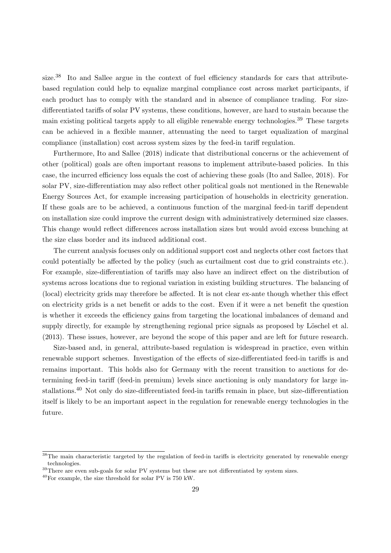size.<sup>[38](#page-31-0)</sup> Ito and Sallee argue in the context of fuel efficiency standards for cars that attributebased regulation could help to equalize marginal compliance cost across market participants, if each product has to comply with the standard and in absence of compliance trading. For sizedifferentiated tariffs of solar PV systems, these conditions, however, are hard to sustain because the main existing political targets apply to all eligible renewable energy technologies.<sup>[39](#page-31-1)</sup> These targets can be achieved in a flexible manner, attenuating the need to target equalization of marginal compliance (installation) cost across system sizes by the feed-in tariff regulation.

Furthermore, Ito and Sallee (2018) indicate that distributional concerns or the achievement of other (political) goals are often important reasons to implement attribute-based policies. In this case, the incurred efficiency loss equals the cost of achieving these goals (Ito and Sallee, 2018). For solar PV, size-differentiation may also reflect other political goals not mentioned in the Renewable Energy Sources Act, for example increasing participation of households in electricity generation. If these goals are to be achieved, a continuous function of the marginal feed-in tariff dependent on installation size could improve the current design with administratively determined size classes. This change would reflect differences across installation sizes but would avoid excess bunching at the size class border and its induced additional cost.

The current analysis focuses only on additional support cost and neglects other cost factors that could potentially be affected by the policy (such as curtailment cost due to grid constraints etc.). For example, size-differentiation of tariffs may also have an indirect effect on the distribution of systems across locations due to regional variation in existing building structures. The balancing of (local) electricity grids may therefore be affected. It is not clear ex-ante though whether this effect on electricity grids is a net benefit or adds to the cost. Even if it were a net benefit the question is whether it exceeds the efficiency gains from targeting the locational imbalances of demand and supply directly, for example by strengthening regional price signals as proposed by Löschel et al. (2013). These issues, however, are beyond the scope of this paper and are left for future research.

Size-based and, in general, attribute-based regulation is widespread in practice, even within renewable support schemes. Investigation of the effects of size-differentiated feed-in tariffs is and remains important. This holds also for Germany with the recent transition to auctions for determining feed-in tariff (feed-in premium) levels since auctioning is only mandatory for large installations.[40](#page-31-2) Not only do size-differentiated feed-in tariffs remain in place, but size-differentiation itself is likely to be an important aspect in the regulation for renewable energy technologies in the future.

<span id="page-31-0"></span><sup>&</sup>lt;sup>38</sup>The main characteristic targeted by the regulation of feed-in tariffs is electricity generated by renewable energy technologies.

<span id="page-31-1"></span><sup>&</sup>lt;sup>39</sup>There are even sub-goals for solar PV systems but these are not differentiated by system sizes.

<span id="page-31-2"></span> $^{40}$ For example, the size threshold for solar PV is 750 kW.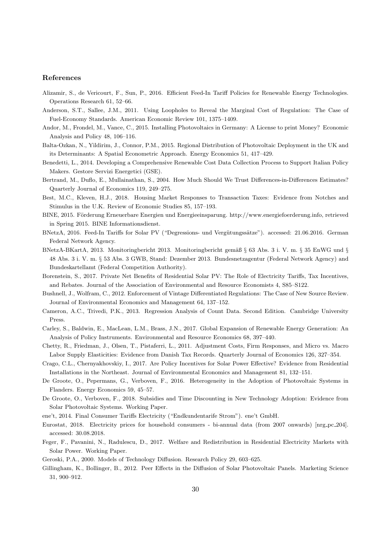#### References

- Alizamir, S., de Vericourt, F., Sun, P., 2016. Efficient Feed-In Tariff Policies for Renewable Energy Technologies. Operations Research 61, 52–66.
- Anderson, S.T., Sallee, J.M., 2011. Using Loopholes to Reveal the Marginal Cost of Regulation: The Case of Fuel-Economy Standards. American Economic Review 101, 1375–1409.
- Andor, M., Frondel, M., Vance, C., 2015. Installing Photovoltaics in Germany: A License to print Money? Economic Analysis and Policy 48, 106–116.
- Balta-Ozkan, N., Yildirim, J., Connor, P.M., 2015. Regional Distribution of Photovoltaic Deployment in the UK and its Determinants: A Spatial Econometric Approach. Energy Economics 51, 417–429.
- Benedetti, L., 2014. Developing a Comprehensive Renewable Cost Data Collection Process to Support Italian Policy Makers. Gestore Servizi Energetici (GSE).
- Bertrand, M., Duflo, E., Mullainathan, S., 2004. How Much Should We Trust Differences-in-Differences Estimates? Quarterly Journal of Economics 119, 249–275.
- Best, M.C., Kleven, H.J., 2018. Housing Market Responses to Transaction Taxes: Evidence from Notches and Stimulus in the U.K. Review of Economic Studies 85, 157–193.
- BINE, 2015. Förderung Erneuerbare Energien und Energieeinsparung. http://www.energiefoerderung.info, retrieved in Spring 2015. BINE Informationsdienst.
- BNetzA, 2016. Feed-In Tariffs for Solar PV ("Degressions- und Vergütungssätze"). accessed: 21.06.2016. German Federal Network Agency.
- BNetzA-BKartA, 2013. Monitoringbericht 2013. Monitoringbericht gemäß § 63 Abs. 3 i. V. m. § 35 EnWG und § 48 Abs. 3 i. V. m. § 53 Abs. 3 GWB, Stand: Dezember 2013. Bundesnetzagentur (Federal Network Agency) and Bundeskartellamt (Federal Competition Authority).
- Borenstein, S., 2017. Private Net Benefits of Residential Solar PV: The Role of Electricity Tariffs, Tax Incentives, and Rebates. Journal of the Association of Environmental and Resource Economists 4, S85–S122.
- Bushnell, J., Wolfram, C., 2012. Enforcement of Vintage Differentiated Regulations: The Case of New Source Review. Journal of Environmental Economics and Management 64, 137–152.
- Cameron, A.C., Trivedi, P.K., 2013. Regression Analysis of Count Data. Second Edition. Cambridge University Press.
- Carley, S., Baldwin, E., MacLean, L.M., Brass, J.N., 2017. Global Expansion of Renewable Energy Generation: An Analysis of Policy Instruments. Environmental and Resource Economics 68, 397–440.
- Chetty, R., Friedman, J., Olsen, T., Pistaferri, L., 2011. Adjustment Costs, Firm Responses, and Micro vs. Macro Labor Supply Elasticities: Evidence from Danish Tax Records. Quarterly Journal of Economics 126, 327–354.
- Crago, C.L., Chernyakhovskiy, I., 2017. Are Policy Incentives for Solar Power Effective? Evidence from Residential Installations in the Northeast. Journal of Environmental Economics and Management 81, 132–151.
- De Groote, O., Pepermans, G., Verboven, F., 2016. Heterogeneity in the Adoption of Photovoltaic Systems in Flanders. Energy Economics 59, 45–57.
- De Groote, O., Verboven, F., 2018. Subsidies and Time Discounting in New Technology Adoption: Evidence from Solar Photovoltaic Systems. Working Paper.
- ene't, 2014. Final Consumer Tariffs Electricity ("Endkundentarife Strom"). ene't GmbH.
- Eurostat, 2018. Electricity prices for household consumers bi-annual data (from 2007 onwards) [nrg pc 204]. accessed: 30.08.2018.
- Feger, F., Pavanini, N., Radulescu, D., 2017. Welfare and Redistribution in Residential Electricity Markets with Solar Power. Working Paper.
- Geroski, P.A., 2000. Models of Technology Diffusion. Research Policy 29, 603–625.
- Gillingham, K., Bollinger, B., 2012. Peer Effects in the Diffusion of Solar Photovoltaic Panels. Marketing Science 31, 900–912.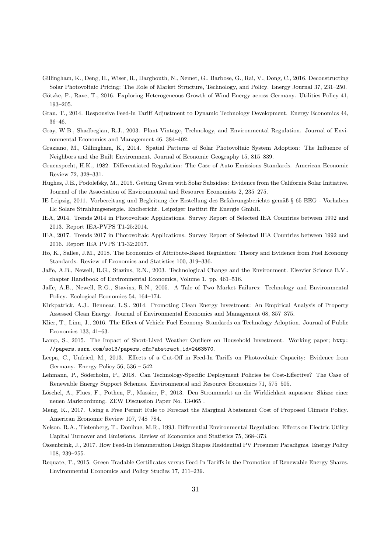- Gillingham, K., Deng, H., Wiser, R., Darghouth, N., Nemet, G., Barbose, G., Rai, V., Dong, C., 2016. Deconstructing Solar Photovoltaic Pricing: The Role of Market Structure, Technology, and Policy. Energy Journal 37, 231–250.
- Götzke, F., Rave, T., 2016. Exploring Heterogeneous Growth of Wind Energy across Germany. Utilities Policy 41, 193–205.
- Grau, T., 2014. Responsive Feed-in Tariff Adjustment to Dynamic Technology Development. Energy Economics 44, 36–46.
- Gray, W.B., Shadbegian, R.J., 2003. Plant Vintage, Technology, and Environmental Regulation. Journal of Environmental Economics and Management 46, 384–402.
- Graziano, M., Gillingham, K., 2014. Spatial Patterns of Solar Photovoltaic System Adoption: The Influence of Neighbors and the Built Environment. Journal of Economic Geography 15, 815–839.
- Gruenspecht, H.K., 1982. Differentiated Regulation: The Case of Auto Emissions Standards. American Economic Review 72, 328–331.
- Hughes, J.E., Podolefsky, M., 2015. Getting Green with Solar Subsidies: Evidence from the California Solar Initiative. Journal of the Association of Environmental and Resource Economists 2, 235–275.
- IE Leipzig, 2011. Vorbereitung und Begleitung der Erstellung des Erfahrungsberichts gemäß § 65 EEG Vorhaben IIc Solare Strahlungsenergie. Endbericht. Leipziger Institut für Energie GmbH.
- IEA, 2014. Trends 2014 in Photovoltaic Applications. Survey Report of Selected IEA Countries between 1992 and 2013. Report IEA-PVPS T1-25:2014.
- IEA, 2017. Trends 2017 in Photovoltaic Applications. Survey Report of Selected IEA Countries between 1992 and 2016. Report IEA PVPS T1-32:2017.
- Ito, K., Sallee, J.M., 2018. The Economics of Attribute-Based Regulation: Theory and Evidence from Fuel Economy Standards. Review of Economics and Statistics 100, 319–336.
- Jaffe, A.B., Newell, R.G., Stavins, R.N., 2003. Technological Change and the Environment. Elsevier Science B.V.. chapter Handbook of Environmental Economics, Volume 1. pp. 461–516.
- Jaffe, A.B., Newell, R.G., Stavins, R.N., 2005. A Tale of Two Market Failures: Technology and Environmental Policy. Ecological Economics 54, 164–174.
- Kirkpatrick, A.J., Bennear, L.S., 2014. Promoting Clean Energy Investment: An Empirical Analysis of Property Assessed Clean Energy. Journal of Environmental Economics and Management 68, 357–375.
- Klier, T., Linn, J., 2016. The Effect of Vehicle Fuel Economy Standards on Technology Adoption. Journal of Public Economics 133, 41–63.
- Lamp, S., 2015. The Impact of Short-Lived Weather Outliers on Household Investment. Working paper; [http:](http://papers.ssrn.com/sol3/papers.cfm?abstract_id=2463570) [//papers.ssrn.com/sol3/papers.cfm?abstract\\_id=2463570](http://papers.ssrn.com/sol3/papers.cfm?abstract_id=2463570).
- Leepa, C., Unfried, M., 2013. Effects of a Cut-Off in Feed-In Tariffs on Photovoltaic Capacity: Evidence from Germany. Energy Policy 56, 536 – 542.
- Lehmann, P., Söderholm, P., 2018. Can Technology-Specific Deployment Policies be Cost-Effective? The Case of Renewable Energy Support Schemes. Environmental and Resource Economics 71, 575–505.
- Löschel, A., Flues, F., Pothen, F., Massier, P., 2013. Den Strommarkt an die Wirklichkeit anpassen: Skizze einer neuen Marktordnung. ZEW Discussion Paper No. 13-065 .
- Meng, K., 2017. Using a Free Permit Rule to Forecast the Marginal Abatement Cost of Proposed Climate Policy. American Economic Review 107, 748–784.
- Nelson, R.A., Tietenberg, T., Donihue, M.R., 1993. Differential Environmental Regulation: Effects on Electric Utility Capital Turnover and Emissions. Review of Economics and Statistics 75, 368–373.
- Ossenbrink, J., 2017. How Feed-In Remuneration Design Shapes Residential PV Prosumer Paradigms. Energy Policy 108, 239–255.
- Requate, T., 2015. Green Tradable Certificates versus Feed-In Tariffs in the Promotion of Renewable Energy Shares. Environmental Economics and Policy Studies 17, 211–239.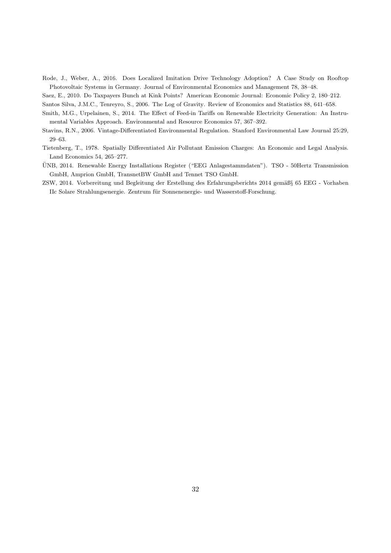Rode, J., Weber, A., 2016. Does Localized Imitation Drive Technology Adoption? A Case Study on Rooftop Photovoltaic Systems in Germany. Journal of Environmental Economics and Management 78, 38–48.

Saez, E., 2010. Do Taxpayers Bunch at Kink Points? American Economic Journal: Economic Policy 2, 180–212.

Santos Silva, J.M.C., Tenreyro, S., 2006. The Log of Gravity. Review of Economics and Statistics 88, 641–658.

- Smith, M.G., Urpelainen, S., 2014. The Effect of Feed-in Tariffs on Renewable Electricity Generation: An Instrumental Variables Approach. Environmental and Resource Economics 57, 367–392.
- Stavins, R.N., 2006. Vintage-Differentiated Environmental Regulation. Stanford Environmental Law Journal 25:29, 29–63.
- Tietenberg, T., 1978. Spatially Differentiated Air Pollutant Emission Charges: An Economic and Legal Analysis. Land Economics 54, 265–277.
- UNB, 2014. Renewable Energy Installations Register ("EEG Anlagestammdaten"). TSO 50Hertz Transmission ¨ GmbH, Amprion GmbH, TransnetBW GmbH and Tennet TSO GmbH.
- ZSW, 2014. Vorbereitung und Begleitung der Erstellung des Erfahrungsberichts 2014 gemäß§ 65 EEG Vorhaben IIc Solare Strahlungsenergie. Zentrum für Sonnenenergie- und Wasserstoff-Forschung.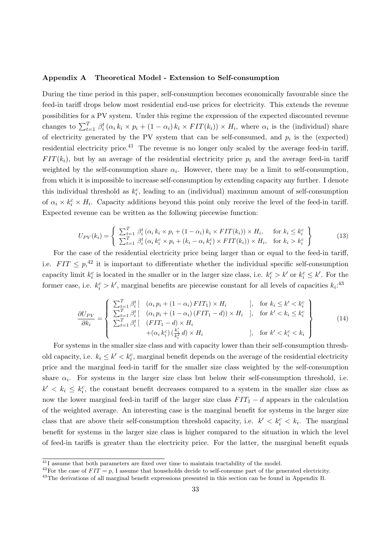#### <span id="page-35-0"></span>Appendix A Theoretical Model - Extension to Self-consumption

During the time period in this paper, self-consumption becomes economically favourable since the feed-in tariff drops below most residential end-use prices for electricity. This extends the revenue possibilities for a PV system. Under this regime the expression of the expected discounted revenue changes to  $\sum_{t=1}^T \beta_i^t (\alpha_i k_i \times p_i + (1 - \alpha_i) k_i \times FIT(k_i)) \times H_i$ , where  $\alpha_i$  is the (individual) share of electricity generated by the PV system that can be self-consumed, and  $p_i$  is the (expected) residential electricity price.<sup>[41](#page-35-1)</sup> The revenue is no longer only scaled by the average feed-in tariff,  $FIT(k_i)$ , but by an average of the residential electricity price  $p_i$  and the average feed-in tariff weighted by the self-consumption share  $\alpha_i$ . However, there may be a limit to self-consumption, from which it is impossible to increase self-consumption by extending capacity any further. I denote this individual threshold as  $k_i^c$ , leading to an (individual) maximum amount of self-consumption of  $\alpha_i \times k_i^c \times H_i$ . Capacity additions beyond this point only receive the level of the feed-in tariff. Expected revenue can be written as the following piecewise function:

$$
U_{PV}(k_i) = \begin{cases} \sum_{t=1}^{T} \beta_i^t (\alpha_i k_i \times p_i + (1 - \alpha_i) k_i \times FIT(k_i)) \times H_i, & \text{for } k_i \le k_i^c\\ \sum_{t=1}^{T} \beta_i^t (\alpha_i k_i^c \times p_i + (k_i - \alpha_i k_i^c) \times FIT(k_i)) \times H_i, & \text{for } k_i > k_i^c \end{cases}
$$
(13)

For the case of the residential electricity price being larger than or equal to the feed-in tariff, i.e.  $FIT \leq p,$ <sup>[42](#page-35-2)</sup> it is important to differentiate whether the individual specific self-consumption capacity limit  $k_i^c$  is located in the smaller or in the larger size class, i.e.  $k_i^c > k'$  or  $k_i^c \leq k'$ . For the former case, i.e.  $k_i^c > k'$ , marginal benefits are piecewise constant for all levels of capacities  $k_i$ <sup>[43](#page-35-3)</sup>

$$
\frac{\partial U_{PV}}{\partial k_i} = \begin{cases}\n\sum_{t=1}^T \beta_i^t \left[ (\alpha_i p_i + (1 - \alpha_i) FTT_1) \times H_i \right] & \text{, for } k_i \le k' < k_i^c \\
\sum_{t=1}^T \beta_i^t \left[ (\alpha_i p_i + (1 - \alpha_i) (FTT_1 - d)) \times H_i \right] & \text{, for } k' < k_i \le k_i^c \\
\sum_{t=1}^T \beta_i^t \left[ (FTT_1 - d) \times H_i \right] & \text{, for } k' < k_i < k_i \\
+( \alpha_i k_i^c) \left( \frac{k_i^t}{k_i^2} d \right) \times H_i & \text{, for } k' < k_i^c < k_i\n\end{cases}
$$
\n
$$
(14)
$$

For systems in the smaller size class and with capacity lower than their self-consumption threshold capacity, i.e.  $k_i \leq k' < k_i^c$ , marginal benefit depends on the average of the residential electricity price and the marginal feed-in tariff for the smaller size class weighted by the self-consumption share  $\alpha_i$ . For systems in the larger size class but below their self-consumption threshold, i.e.  $k' < k_i \leq k_i^c$ , the constant benefit decreases compared to a system in the smaller size class as now the lower marginal feed-in tariff of the larger size class  $FIT_1 - d$  appears in the calculation of the weighted average. An interesting case is the marginal benefit for systems in the larger size class that are above their self-consumption threshold capacity, i.e.  $k' < k_i^c < k_i$ . The marginal benefit for systems in the larger size class is higher compared to the situation in which the level of feed-in tariffs is greater than the electricity price. For the latter, the marginal benefit equals

<span id="page-35-1"></span> $41$ <sub>I</sub> assume that both parameters are fixed over time to maintain tractability of the model.

<span id="page-35-2"></span><sup>&</sup>lt;sup>42</sup>For the case of  $FIT = p$ , I assume that households decide to self-consume part of the generated electricity.

<span id="page-35-3"></span><sup>&</sup>lt;sup>43</sup>The derivations of all marginal benefit expressions presented in this section can be found in Appendix [B.](#page-38-0)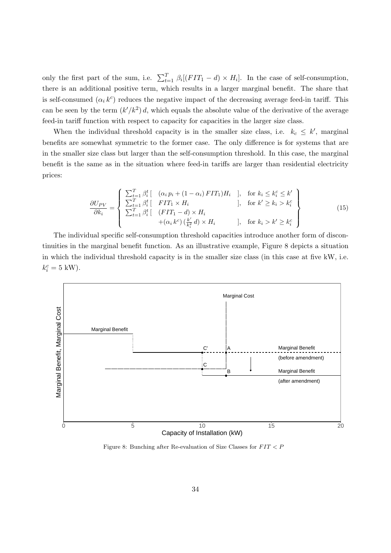only the first part of the sum, i.e.  $\sum_{t=1}^{T} \beta_i [(FIT_1 - d) \times H_i]$ . In the case of self-consumption, there is an additional positive term, which results in a larger marginal benefit. The share that is self-consumed  $(\alpha_i k^c)$  reduces the negative impact of the decreasing average feed-in tariff. This can be seen by the term  $(k'/k^2)$  d, which equals the absolute value of the derivative of the average feed-in tariff function with respect to capacity for capacities in the larger size class.

When the individual threshold capacity is in the smaller size class, i.e.  $k_c \leq k'$ , marginal benefits are somewhat symmetric to the former case. The only difference is for systems that are in the smaller size class but larger than the self-consumption threshold. In this case, the marginal benefit is the same as in the situation where feed-in tariffs are larger than residential electricity prices:

$$
\frac{\partial U_{PV}}{\partial k_i} = \begin{cases}\n\sum_{t=1}^{T} \beta_i^t \left[ (\alpha_i p_i + (1 - \alpha_i) FTT_1) H_i \right], & \text{for } k_i \le k_i^c \le k' \\
\sum_{t=1}^{T} \beta_i^t \left[ FTT_1 \times H_i \right], & \text{for } k' \ge k_i > k_i^c \\
\sum_{t=1}^{T} \beta_i^t \left[ (FTT_1 - d) \times H_i \right], & \text{for } k_i > k' \ge k_i^c \\
+(\alpha_i k^c) \left(\frac{k'}{k_i^2} d\right) \times H_i & \text{or } k_i > k' \ge k_i^c\n\end{cases}
$$
\n(15)

The individual specific self-consumption threshold capacities introduce another form of discontinuities in the marginal benefit function. As an illustrative example, Figure [8](#page-36-0) depicts a situation in which the individual threshold capacity is in the smaller size class (in this case at five kW, i.e.  $k_i^c = 5$  kW).

<span id="page-36-0"></span>

Figure 8: Bunching after Re-evaluation of Size Classes for  $FIT < P$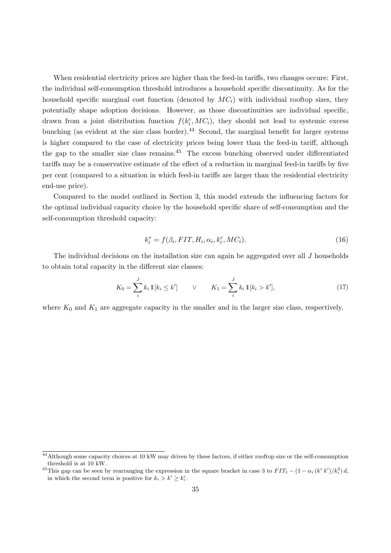When residential electricity prices are higher than the feed-in tariffs, two changes occure: First, the individual self-consumption threshold introduces a household specific discontinuity. As for the household specific marginal cost function (denoted by  $MC_i$ ) with individual rooftop sizes, they potentially shape adoption decisions. However, as those discontinuities are individual specific, drawn from a joint distribution function  $f(k_i^c, MC_i)$ , they should not lead to systemic excess bunching (as evident at the size class border).<sup>[44](#page-37-0)</sup> Second, the marginal benefit for larger systems is higher compared to the case of electricity prices being lower than the feed-in tariff, although the gap to the smaller size class remains.<sup>[45](#page-37-1)</sup> The excess bunching observed under differentiated tariffs may be a conservative estimate of the effect of a reduction in marginal feed-in tariffs by five per cent (compared to a situation in which feed-in tariffs are larger than the residential electricity end-use price).

Compared to the model outlined in Section [3,](#page-11-4) this model extends the influencing factors for the optimal individual capacity choice by the household specific share of self-consumption and the self-consumption threshold capacity:

$$
k_i^* = f(\beta_i, FIT, H_i, \alpha_i, k_i^c, MC_i).
$$
\n<sup>(16)</sup>

The individual decisions on the installation size can again be aggregated over all J households to obtain total capacity in the different size classes:

$$
K_0 = \sum_{i}^{J} k_i \, \mathbb{1}[k_i \le k'] \qquad \lor \qquad K_1 = \sum_{i}^{J} k_i \, \mathbb{1}[k_i > k'], \tag{17}
$$

where  $K_0$  and  $K_1$  are aggregate capacity in the smaller and in the larger size class, respectively.

<span id="page-37-0"></span><sup>&</sup>lt;sup>44</sup>Although some capacity choices at 10 kW may driven by these factors, if either rooftop size or the self-consumption threshold is at 10 kW.

<span id="page-37-1"></span><sup>&</sup>lt;sup>45</sup>This gap can be seen by rearranging the expression in the square bracket in case 3 to  $FIT_1 - (1 - \alpha_i (k^c k') / k_i^2) d$ , in which the second term is positive for  $k_i > k' \geq k_i^c$ .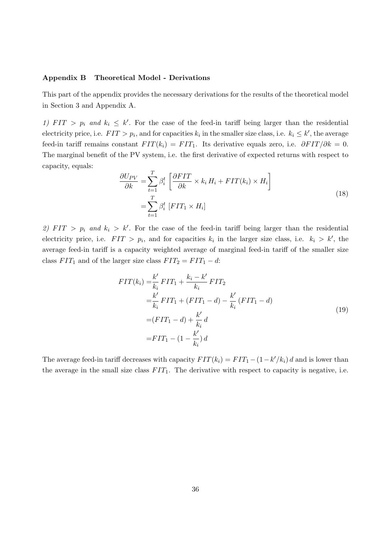# <span id="page-38-0"></span>Appendix B Theoretical Model - Derivations

This part of the appendix provides the necessary derivations for the results of the theoretical model in Section [3](#page-11-4) and Appendix [A.](#page-35-0)

1)  $FIT > p_i$  and  $k_i \leq k'$ . For the case of the feed-in tariff being larger than the residential electricity price, i.e.  $FIT > p_i$ , and for capacities  $k_i$  in the smaller size class, i.e.  $k_i \leq k'$ , the average feed-in tariff remains constant  $FIT(k_i) = FIT_1$ . Its derivative equals zero, i.e.  $\partial FIT/\partial k = 0$ . The marginal benefit of the PV system, i.e. the first derivative of expected returns with respect to capacity, equals:

$$
\frac{\partial U_{PV}}{\partial k} = \sum_{t=1}^{T} \beta_i^t \left[ \frac{\partial FIT}{\partial k} \times k_i H_i + FIT(k_i) \times H_i \right]
$$

$$
= \sum_{t=1}^{T} \beta_i^t \left[ FIT_1 \times H_i \right]
$$
(18)

2) FIT >  $p_i$  and  $k_i > k'$ . For the case of the feed-in tariff being larger than the residential electricity price, i.e.  $FIT > p_i$ , and for capacities  $k_i$  in the larger size class, i.e.  $k_i > k'$ , the average feed-in tariff is a capacity weighted average of marginal feed-in tariff of the smaller size class  $FIT_1$  and of the larger size class  $FIT_2 = FIT_1 - d$ :

$$
FIT(k_i) = \frac{k'}{k_i} FIT_1 + \frac{k_i - k'}{k_i} FIT_2
$$
  
\n
$$
= \frac{k'}{k_i} FIT_1 + (FIT_1 - d) - \frac{k'}{k_i} (FIT_1 - d)
$$
  
\n
$$
= (FIT_1 - d) + \frac{k'}{k_i}d
$$
  
\n
$$
= FIT_1 - (1 - \frac{k'}{k_i})d
$$
 (19)

The average feed-in tariff decreases with capacity  $FIT(k_i) = FIT_1 - (1 - k'/k_i) d$  and is lower than the average in the small size class  $FIT_1$ . The derivative with respect to capacity is negative, i.e.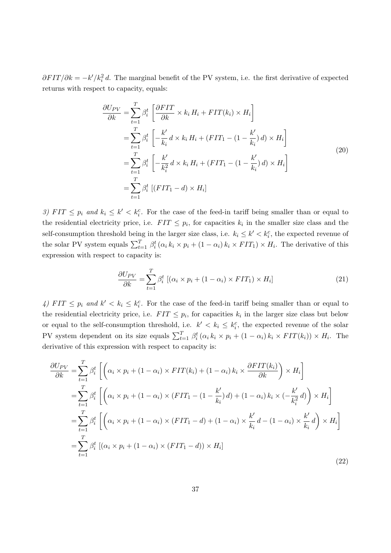$\partial FIT/\partial k = -k'/k_i^2 d$ . The marginal benefit of the PV system, i.e. the first derivative of expected returns with respect to capacity, equals:

$$
\frac{\partial U_{PV}}{\partial k} = \sum_{t=1}^{T} \beta_i^t \left[ \frac{\partial FIT}{\partial k} \times k_i H_i + FTT(k_i) \times H_i \right]
$$
  
\n
$$
= \sum_{t=1}^{T} \beta_i^t \left[ -\frac{k'}{k_i} d \times k_i H_i + (FIT_1 - (1 - \frac{k'}{k_i}) d) \times H_i \right]
$$
  
\n
$$
= \sum_{t=1}^{T} \beta_i^t \left[ -\frac{k'}{k_i^2} d \times k_i H_i + (FIT_1 - (1 - \frac{k'}{k_i}) d) \times H_i \right]
$$
  
\n
$$
= \sum_{t=1}^{T} \beta_i^t \left[ (FIT_1 - d) \times H_i \right]
$$
  
\n(20)

3)  $FIT \leq p_i$  and  $k_i \leq k' < k_i^c$ . For the case of the feed-in tariff being smaller than or equal to the residential electricity price, i.e.  $FIT \leq p_i$ , for capacities  $k_i$  in the smaller size class and the self-consumption threshold being in the larger size class, i.e.  $k_i \leq k' < k_i^c$ , the expected revenue of the solar PV system equals  $\sum_{t=1}^{T} \beta_i^t (\alpha_i k_i \times p_i + (1 - \alpha_i) k_i \times FIT_1) \times H_i$ . The derivative of this expression with respect to capacity is:

$$
\frac{\partial U_{PV}}{\partial k} = \sum_{t=1}^{T} \beta_i^t \left[ (\alpha_i \times p_i + (1 - \alpha_i) \times FIT_1) \times H_i \right] \tag{21}
$$

4)  $FIT \leq p_i$  and  $k' < k_i \leq k_i^c$ . For the case of the feed-in tariff being smaller than or equal to the residential electricity price, i.e.  $FIT \leq p_i$ , for capacities  $k_i$  in the larger size class but below or equal to the self-consumption threshold, i.e.  $k' < k_i \leq k_i^c$ , the expected revenue of the solar PV system dependent on its size equals  $\sum_{t=1}^{T} \beta_i^t (\alpha_i k_i \times p_i + (1 - \alpha_i) k_i \times FIT(k_i)) \times H_i$ . The derivative of this expression with respect to capacity is:

$$
\frac{\partial U_{PV}}{\partial k} = \sum_{t=1}^{T} \beta_i^t \left[ \left( \alpha_i \times p_i + (1 - \alpha_i) \times FIT(k_i) + (1 - \alpha_i) k_i \times \frac{\partial FIT(k_i)}{\partial k} \right) \times H_i \right]
$$
  
\n
$$
= \sum_{t=1}^{T} \beta_i^t \left[ \left( \alpha_i \times p_i + (1 - \alpha_i) \times (FIT_1 - (1 - \frac{k'}{k_i}) d) + (1 - \alpha_i) k_i \times (-\frac{k'}{k_i^2} d) \right) \times H_i \right]
$$
  
\n
$$
= \sum_{t=1}^{T} \beta_i^t \left[ \left( \alpha_i \times p_i + (1 - \alpha_i) \times (FIT_1 - d) + (1 - \alpha_i) \times \frac{k'}{k_i} d - (1 - \alpha_i) \times \frac{k'}{k_i} d \right) \times H_i \right]
$$
  
\n
$$
= \sum_{t=1}^{T} \beta_i^t \left[ (\alpha_i \times p_i + (1 - \alpha_i) \times (FIT_1 - d)) \times H_i \right]
$$
  
\n(22)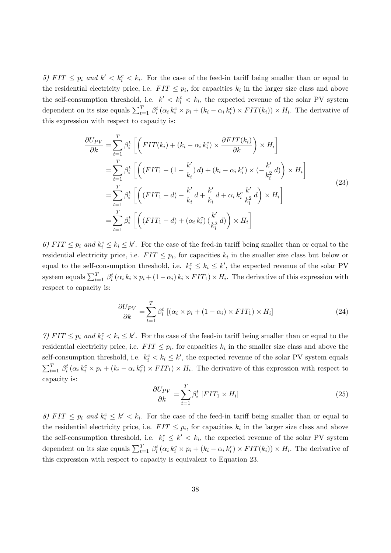5) FIT  $\leq p_i$  and  $k' < k_i^c < k_i$ . For the case of the feed-in tariff being smaller than or equal to the residential electricity price, i.e.  $FIT \leq p_i$ , for capacities  $k_i$  in the larger size class and above the self-consumption threshold, i.e.  $k' < k_i^c < k_i$ , the expected revenue of the solar PV system dependent on its size equals  $\sum_{t=1}^{T} \beta_i^t (\alpha_i k_i^c \times p_i + (k_i - \alpha_i k_i^c) \times FIT(k_i)) \times H_i$ . The derivative of this expression with respect to capacity is:

<span id="page-40-0"></span>
$$
\frac{\partial U_{PV}}{\partial k} = \sum_{t=1}^{T} \beta_i^t \left[ \left( FT(k_i) + (k_i - \alpha_i k_i^c) \times \frac{\partial FT(k_i)}{\partial k} \right) \times H_i \right]
$$
  
\n
$$
= \sum_{t=1}^{T} \beta_i^t \left[ \left( (FT_1 - (1 - \frac{k'}{k_i}) d) + (k_i - \alpha_i k_i^c) \times (-\frac{k'}{k_i^2} d) \right) \times H_i \right]
$$
  
\n
$$
= \sum_{t=1}^{T} \beta_i^t \left[ \left( (FT_1 - d) - \frac{k'}{k_i} d + \frac{k'}{k_i} d + \alpha_i k_i^c \frac{k'}{k_i^2} d \right) \times H_i \right]
$$
  
\n
$$
= \sum_{t=1}^{T} \beta_i^t \left[ \left( (FT_1 - d) + (\alpha_i k_i^c) \left( \frac{k'}{k_i^2} d \right) \right) \times H_i \right]
$$
  
\n(23)

6) FIT  $\leq p_i$  and  $k_i^c \leq k_i \leq k'$ . For the case of the feed-in tariff being smaller than or equal to the residential electricity price, i.e.  $FIT \leq p_i$ , for capacities  $k_i$  in the smaller size class but below or equal to the self-consumption threshold, i.e.  $k_i^c \leq k_i \leq k'$ , the expected revenue of the solar PV system equals  $\sum_{t=1}^T \beta_i^t (\alpha_i k_i \times p_i + (1 - \alpha_i) k_i \times FIT_1) \times H_i$ . The derivative of this expression with respect to capacity is:

$$
\frac{\partial U_{PV}}{\partial k} = \sum_{t=1}^{T} \beta_i^t \left[ (\alpha_i \times p_i + (1 - \alpha_i) \times FIT_1) \times H_i \right] \tag{24}
$$

7)  $FIT \leq p_i$  and  $k_i^c < k_i \leq k'$ . For the case of the feed-in tariff being smaller than or equal to the residential electricity price, i.e.  $FIT \leq p_i$ , for capacities  $k_i$  in the smaller size class and above the self-consumption threshold, i.e.  $k_i^c < k_i \leq k'$ , the expected revenue of the solar PV system equals  $\sum_{t=1}^T \beta_i^t (\alpha_i k_i^c \times p_i + (k_i - \alpha_i k_i^c) \times FIT_1) \times H_i$ . The derivative of this expression with respect to capacity is:

$$
\frac{\partial U_{PV}}{\partial k} = \sum_{t=1}^{T} \beta_i^t \left[ FIT_1 \times H_i\right] \tag{25}
$$

8) FIT  $\leq p_i$  and  $k_i^c \leq k' < k_i$ . For the case of the feed-in tariff being smaller than or equal to the residential electricity price, i.e.  $FIT \leq p_i$ , for capacities  $k_i$  in the larger size class and above the self-consumption threshold, i.e.  $k_i^c \leq k' < k_i$ , the expected revenue of the solar PV system dependent on its size equals  $\sum_{t=1}^{T} \beta_i^t (\alpha_i k_i^c \times p_i + (k_i - \alpha_i k_i^c) \times FIT(k_i)) \times H_i$ . The derivative of this expression with respect to capacity is equivalent to Equation [23.](#page-40-0)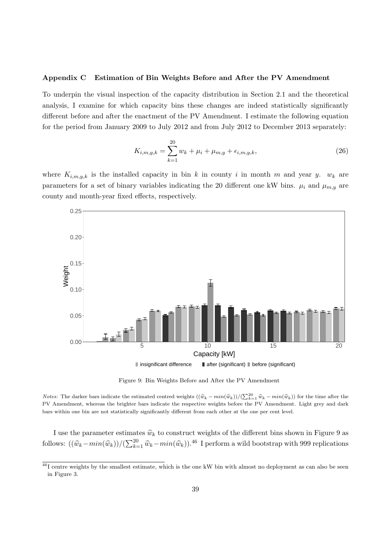#### <span id="page-41-0"></span>Appendix C Estimation of Bin Weights Before and After the PV Amendment

To underpin the visual inspection of the capacity distribution in Section [2.1](#page-6-2) and the theoretical analysis, I examine for which capacity bins these changes are indeed statistically significantly different before and after the enactment of the PV Amendment. I estimate the following equation for the period from January 2009 to July 2012 and from July 2012 to December 2013 separately:

$$
K_{i,m,y,k} = \sum_{k=1}^{20} w_k + \mu_i + \mu_{m,y} + \epsilon_{i,m,y,k},
$$
\n(26)

where  $K_{i,m,y,k}$  is the installed capacity in bin k in county i in month m and year y.  $w_k$  are parameters for a set of binary variables indicating the 20 different one kW bins.  $\mu_i$  and  $\mu_{m,y}$  are county and month-year fixed effects, respectively.

<span id="page-41-1"></span>

Figure 9: Bin Weights Before and After the PV Amendment

*Notes:* The darker bars indicate the estimated centred weights  $((\hat{w}_k - min(\hat{w}_k)) / (\sum_{k=1}^{20} \hat{w}_k - min(\hat{w}_k))$  for the time after the PV Amendment, whereas the brighter bars indicate the respective weights before the PV Amendment. Light grey and dark bars within one bin are not statistically significantly different from each other at the one per cent level.

I use the parameter estimates  $\hat{w}_k$  to construct weights of the different bins shown in Figure [9](#page-41-1) as follows:  $((\hat{w}_k - min(\hat{w}_k)) / (\sum_{k=1}^{20} \hat{w}_k - min(\hat{w}_k)).^{46}$  $((\hat{w}_k - min(\hat{w}_k)) / (\sum_{k=1}^{20} \hat{w}_k - min(\hat{w}_k)).^{46}$  $((\hat{w}_k - min(\hat{w}_k)) / (\sum_{k=1}^{20} \hat{w}_k - min(\hat{w}_k)).^{46}$  I perform a wild bootstrap with 999 replications

<span id="page-41-2"></span><sup>&</sup>lt;sup>46</sup>I centre weights by the smallest estimate, which is the one kW bin with almost no deployment as can also be seen in Figure [3.](#page-10-0)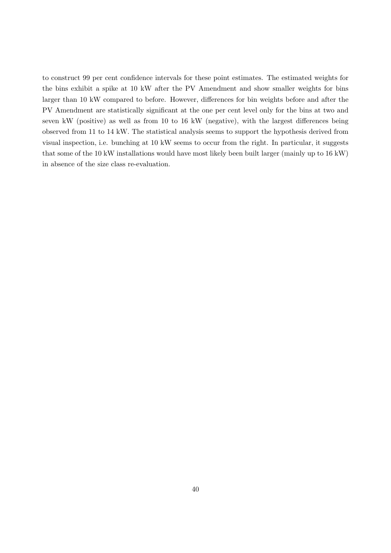to construct 99 per cent confidence intervals for these point estimates. The estimated weights for the bins exhibit a spike at 10 kW after the PV Amendment and show smaller weights for bins larger than 10 kW compared to before. However, differences for bin weights before and after the PV Amendment are statistically significant at the one per cent level only for the bins at two and seven kW (positive) as well as from 10 to 16 kW (negative), with the largest differences being observed from 11 to 14 kW. The statistical analysis seems to support the hypothesis derived from visual inspection, i.e. bunching at 10 kW seems to occur from the right. In particular, it suggests that some of the 10 kW installations would have most likely been built larger (mainly up to 16 kW) in absence of the size class re-evaluation.